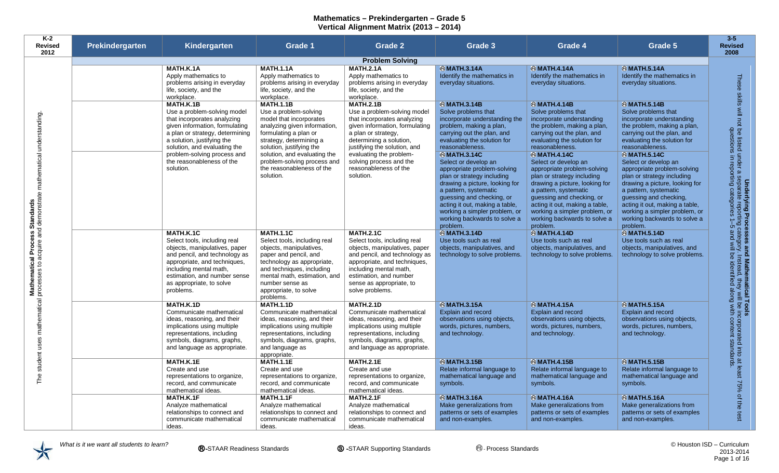| K-2<br><b>Revised</b><br>2012                                                 | Prekindergarten | Kindergarten                                                                                                                                                                                                                                                                               | Grade 1                                                                                                                                                                                                                                                                                       | Grade 2                                                                                                                                                                                                                                                                                        | Grade 3                                                                                                                                                                                                                                                                                                                                                                                                                                                                                                     | Grade 4                                                                                                                                                                                                                                                                                                                                                                                                                                                                                                 | Grade 5                                                                                                                                                                                                                                                                                                                                                                                                                                                                                                   | $3 - 5$<br><b>Revised</b><br>2008                                                                                                                                                                                                                      |
|-------------------------------------------------------------------------------|-----------------|--------------------------------------------------------------------------------------------------------------------------------------------------------------------------------------------------------------------------------------------------------------------------------------------|-----------------------------------------------------------------------------------------------------------------------------------------------------------------------------------------------------------------------------------------------------------------------------------------------|------------------------------------------------------------------------------------------------------------------------------------------------------------------------------------------------------------------------------------------------------------------------------------------------|-------------------------------------------------------------------------------------------------------------------------------------------------------------------------------------------------------------------------------------------------------------------------------------------------------------------------------------------------------------------------------------------------------------------------------------------------------------------------------------------------------------|---------------------------------------------------------------------------------------------------------------------------------------------------------------------------------------------------------------------------------------------------------------------------------------------------------------------------------------------------------------------------------------------------------------------------------------------------------------------------------------------------------|-----------------------------------------------------------------------------------------------------------------------------------------------------------------------------------------------------------------------------------------------------------------------------------------------------------------------------------------------------------------------------------------------------------------------------------------------------------------------------------------------------------|--------------------------------------------------------------------------------------------------------------------------------------------------------------------------------------------------------------------------------------------------------|
|                                                                               |                 |                                                                                                                                                                                                                                                                                            |                                                                                                                                                                                                                                                                                               | <b>Problem Solving</b>                                                                                                                                                                                                                                                                         |                                                                                                                                                                                                                                                                                                                                                                                                                                                                                                             |                                                                                                                                                                                                                                                                                                                                                                                                                                                                                                         |                                                                                                                                                                                                                                                                                                                                                                                                                                                                                                           |                                                                                                                                                                                                                                                        |
|                                                                               |                 | <b>MATH.K.1A</b><br>Apply mathematics to<br>problems arising in everyday<br>life, society, and the<br>workplace.                                                                                                                                                                           | <b>MATH 1.1A</b><br>Apply mathematics to<br>problems arising in everyday<br>life, society, and the<br>workplace.                                                                                                                                                                              | <b>MATH.2.1A</b><br>Apply mathematics to<br>problems arising in everyday<br>life, society, and the<br>workplace.                                                                                                                                                                               | <b>® MATH.3.14A</b><br>Identify the mathematics in<br>everyday situations.                                                                                                                                                                                                                                                                                                                                                                                                                                  | <b>® MATH.4.14A</b><br>Identify the mathematics in<br>everyday situations.                                                                                                                                                                                                                                                                                                                                                                                                                              | <b>®MATH.5.14A</b><br>Identify the mathematics in<br>everyday situations.                                                                                                                                                                                                                                                                                                                                                                                                                                 | These<br>skills                                                                                                                                                                                                                                        |
| understanding<br>mathematical                                                 |                 | <b>MATH.K.1B</b><br>Use a problem-solving model<br>that incorporates analyzing<br>given information, formulating<br>a plan or strategy, determining<br>a solution, justifying the<br>solution, and evaluating the<br>problem-solving process and<br>the reasonableness of the<br>solution. | <b>MATH.1.1B</b><br>Use a problem-solving<br>model that incorporates<br>analyzing given information,<br>formulating a plan or<br>strategy, determining a<br>solution, justifying the<br>solution, and evaluating the<br>problem-solving process and<br>the reasonableness of the<br>solution. | <b>MATH.2.1B</b><br>Use a problem-solving model<br>that incorporates analyzing<br>given information, formulating<br>a plan or strategy,<br>determining a solution,<br>justifying the solution, and<br>evaluating the problem-<br>solving process and the<br>reasonableness of the<br>solution. | <b>®MATH.3.14B</b><br>Solve problems that<br>incorporate understanding the<br>problem, making a plan,<br>carrying out the plan, and<br>evaluating the solution for<br>reasonableness.<br><b>&amp;MATH.3.14C</b><br>Select or develop an<br>appropriate problem-solving<br>plan or strategy including<br>drawing a picture, looking for<br>a pattern, systematic<br>guessing and checking, or<br>acting it out, making a table,<br>working a simpler problem, or<br>working backwards to solve a<br>problem. | <b>MATH.4.14B</b><br>Solve problems that<br>incorporate understanding<br>the problem, making a plan,<br>carrying out the plan, and<br>evaluating the solution for<br>reasonableness.<br><b>® MATH.4.14C</b><br>Select or develop an<br>appropriate problem-solving<br>plan or strategy including<br>drawing a picture, looking for<br>a pattern, systematic<br>guessing and checking, or<br>acting it out, making a table,<br>working a simpler problem, or<br>working backwards to solve a<br>problem. | <b>® MATH.5.14B</b><br>Solve problems that<br>incorporate understanding<br>the problem, making a plan,<br>carrying out the plan, and<br>evaluating the solution for<br>reasonableness.<br><b>&amp;MATH.5.14C</b><br>Select or develop an<br>appropriate problem-solving<br>plan or strategy including<br>drawing a picture, looking for<br>a pattern, systematic<br>guessing and checking,<br>acting it out, making a table,<br>working a simpler problem, or<br>working backwards to solve a<br>problem. | $\sum_{i=1}^{n}$<br>Underlying Processes and Mathentical Tools<br>not be listed under a separate reporting category. Instead, they will be incorporated into<br>questions in reporting categories 1–5 and will be identified along with content standa |
| <b>Mathematical Process Standards</b><br>processes to acquire and demonstrate |                 | <b>MATH.K.1C</b><br>Select tools, including real<br>objects, manipulatives, paper<br>and pencil, and technology as<br>appropriate, and techniques,<br>including mental math,<br>estimation, and number sense<br>as appropriate, to solve<br>problems.                                      | <b>MATH.1.1C</b><br>Select tools, including real<br>objects, manipulatives,<br>paper and pencil, and<br>technology as appropriate,<br>and techniques, including<br>mental math, estimation, and<br>number sense as<br>appropriate, to solve<br>problems.                                      | <b>MATH.2.1C</b><br>Select tools, including real<br>objects, manipulatives, paper<br>and pencil, and technology as<br>appropriate, and techniques,<br>including mental math,<br>estimation, and number<br>sense as appropriate, to<br>solve problems.                                          | <b>&amp;MATH.3.14D</b><br>Use tools such as real<br>objects, manipulatives, and<br>technology to solve problems.                                                                                                                                                                                                                                                                                                                                                                                            | <b>&amp;MATH.4.14D</b><br>Use tools such as real<br>objects, manipulatives, and<br>technology to solve problems.                                                                                                                                                                                                                                                                                                                                                                                        | <b>® MATH.5.14D</b><br>Use tools such as real<br>objects, manipulatives, and<br>technology to solve problems.                                                                                                                                                                                                                                                                                                                                                                                             |                                                                                                                                                                                                                                                        |
| mathematical<br>uses                                                          |                 | <b>MATH.K.1D</b><br>Communicate mathematical<br>ideas, reasoning, and their<br>implications using multiple<br>representations, including<br>symbols, diagrams, graphs,<br>and language as appropriate.                                                                                     | <b>MATH.1.1D</b><br>Communicate mathematical<br>ideas, reasoning, and their<br>implications using multiple<br>representations, including<br>symbols, diagrams, graphs,<br>and language as<br>appropriate.                                                                                     | <b>MATH.2.1D</b><br>Communicate mathematical<br>ideas, reasoning, and their<br>implications using multiple<br>representations, including<br>symbols, diagrams, graphs,<br>and language as appropriate.                                                                                         | <b>®MATH.3.15A</b><br>Explain and record<br>observations using objects,<br>words, pictures, numbers,<br>and technology.                                                                                                                                                                                                                                                                                                                                                                                     | <b>® MATH.4.15A</b><br>Explain and record<br>observations using objects,<br>words, pictures, numbers,<br>and technology.                                                                                                                                                                                                                                                                                                                                                                                | <b>®MATH.5.15A</b><br>Explain and record<br>observations using objects,<br>words, pictures, numbers,<br>and technology.                                                                                                                                                                                                                                                                                                                                                                                   |                                                                                                                                                                                                                                                        |
| student<br>The                                                                |                 | <b>MATH.K.1E</b><br>Create and use<br>representations to organize,<br>record, and communicate<br>mathematical ideas.                                                                                                                                                                       | <b>MATH.1.1E</b><br>Create and use<br>representations to organize.<br>record, and communicate<br>mathematical ideas.                                                                                                                                                                          | <b>MATH.2.1E</b><br>Create and use<br>representations to organize,<br>record, and communicate<br>mathematical ideas.                                                                                                                                                                           | <b>®MATH.3.15B</b><br>Relate informal language to<br>mathematical language and<br>symbols.                                                                                                                                                                                                                                                                                                                                                                                                                  | <b>MATH.4.15B</b><br>Relate informal language to<br>mathematical language and<br>symbols.                                                                                                                                                                                                                                                                                                                                                                                                               | <b>®MATH.5.15B</b><br>Relate informal language to<br>mathematical language and<br>symbols.                                                                                                                                                                                                                                                                                                                                                                                                                | at least<br>ards.<br>$-75%$                                                                                                                                                                                                                            |
|                                                                               |                 | <b>MATH.K.1F</b><br>Analyze mathematical<br>relationships to connect and<br>communicate mathematical<br>ideas.                                                                                                                                                                             | <b>MATH.1.1F</b><br>Analyze mathematical<br>relationships to connect and<br>communicate mathematical<br>ideas.                                                                                                                                                                                | <b>MATH.2.1F</b><br>Analyze mathematical<br>relationships to connect and<br>communicate mathematical<br>ideas.                                                                                                                                                                                 | <b>® MATH.3.16A</b><br>Make generalizations from<br>patterns or sets of examples<br>and non-examples.                                                                                                                                                                                                                                                                                                                                                                                                       | <b>® MATH.4.16A</b><br>Make generalizations from<br>patterns or sets of examples<br>and non-examples.                                                                                                                                                                                                                                                                                                                                                                                                   | <b>® MATH.5.16A</b><br>Make generalizations from<br>patterns or sets of examples<br>and non-examples.                                                                                                                                                                                                                                                                                                                                                                                                     | $\mathsf{Q}_\bullet$<br>the<br>test                                                                                                                                                                                                                    |

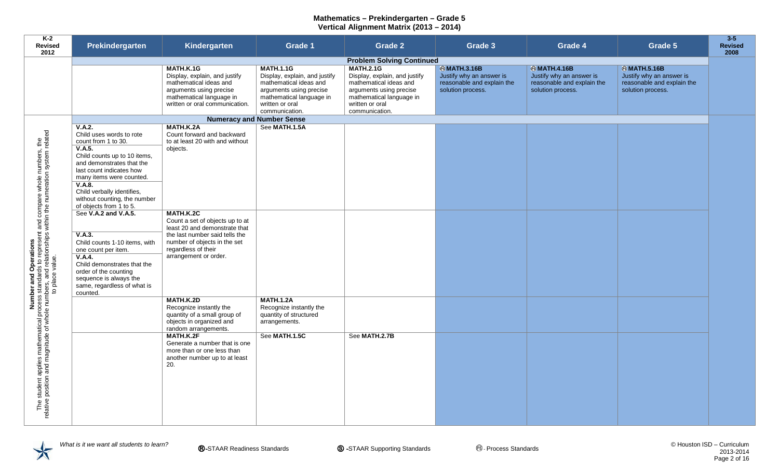| $K-2$<br>Revised<br>2012                                                                                                                                                                                                            | Prekindergarten                                                                                                                                                                                                                                                  | Kindergarten                                                                                                                                                                                                                                 | <b>Grade 1</b>                                                                                                                                                          | <b>Grade 2</b>                                                                                                                                                          | Grade 3                                                                                           | <b>Grade 4</b>                                                                                        | Grade 5                                                                                           | $3 - 5$<br><b>Revised</b><br>2008 |
|-------------------------------------------------------------------------------------------------------------------------------------------------------------------------------------------------------------------------------------|------------------------------------------------------------------------------------------------------------------------------------------------------------------------------------------------------------------------------------------------------------------|----------------------------------------------------------------------------------------------------------------------------------------------------------------------------------------------------------------------------------------------|-------------------------------------------------------------------------------------------------------------------------------------------------------------------------|-------------------------------------------------------------------------------------------------------------------------------------------------------------------------|---------------------------------------------------------------------------------------------------|-------------------------------------------------------------------------------------------------------|---------------------------------------------------------------------------------------------------|-----------------------------------|
|                                                                                                                                                                                                                                     |                                                                                                                                                                                                                                                                  |                                                                                                                                                                                                                                              |                                                                                                                                                                         | <b>Problem Solving Continued</b>                                                                                                                                        |                                                                                                   |                                                                                                       |                                                                                                   |                                   |
|                                                                                                                                                                                                                                     |                                                                                                                                                                                                                                                                  | MATH.K.1G<br>Display, explain, and justify<br>mathematical ideas and<br>arguments using precise<br>mathematical language in<br>written or oral communication.                                                                                | <b>MATH.1.1G</b><br>Display, explain, and justify<br>mathematical ideas and<br>arguments using precise<br>mathematical language in<br>written or oral<br>communication. | <b>MATH.2.1G</b><br>Display, explain, and justify<br>mathematical ideas and<br>arguments using precise<br>mathematical language in<br>written or oral<br>communication. | <b>@MATH.3.16B</b><br>Justify why an answer is<br>reasonable and explain the<br>solution process. | <b>&amp;MATH.4.16B</b><br>Justify why an answer is<br>reasonable and explain the<br>solution process. | <b>@MATH.5.16B</b><br>Justify why an answer is<br>reasonable and explain the<br>solution process. |                                   |
|                                                                                                                                                                                                                                     |                                                                                                                                                                                                                                                                  |                                                                                                                                                                                                                                              | <b>Numeracy and Number Sense</b>                                                                                                                                        |                                                                                                                                                                         |                                                                                                   |                                                                                                       |                                                                                                   |                                   |
|                                                                                                                                                                                                                                     | V.A.2.<br>Child uses words to rote<br>count from 1 to 30.<br>V.A.5.<br>Child counts up to 10 items,<br>and demonstrates that the<br>last count indicates how<br>many items were counted.<br>V.A.8.<br>Child verbally identifies,<br>without counting, the number | MATH.K.2A<br>Count forward and backward<br>to at least 20 with and without<br>objects.                                                                                                                                                       | See MATH.1.5A                                                                                                                                                           |                                                                                                                                                                         |                                                                                                   |                                                                                                       |                                                                                                   |                                   |
|                                                                                                                                                                                                                                     | of objects from 1 to 5.<br>See V.A.2 and V.A.5.<br>V.A.3.<br>Child counts 1-10 items, with<br>one count per item.<br>V.A.4.<br>Child demonstrates that the<br>order of the counting<br>sequence is always the<br>same, regardless of what is                     | MATH.K.2C<br>Count a set of objects up to at<br>least 20 and demonstrate that<br>the last number said tells the<br>number of objects in the set<br>regardless of their<br>arrangement or order.                                              |                                                                                                                                                                         |                                                                                                                                                                         |                                                                                                   |                                                                                                       |                                                                                                   |                                   |
| Number and Operations<br>The student applies mathematical process standards to represent and compare whole numbers, the<br>relative position and magnitude of whole numbers, and relationships within the numeration system related | counted.                                                                                                                                                                                                                                                         | MATH.K.2D<br>Recognize instantly the<br>quantity of a small group of<br>objects in organized and<br>random arrangements.<br>MATH.K.2F<br>Generate a number that is one<br>more than or one less than<br>another number up to at least<br>20. | <b>MATH.1.2A</b><br>Recognize instantly the<br>quantity of structured<br>arrangements.<br>See MATH.1.5C                                                                 | See MATH.2.7B                                                                                                                                                           |                                                                                                   |                                                                                                       |                                                                                                   |                                   |

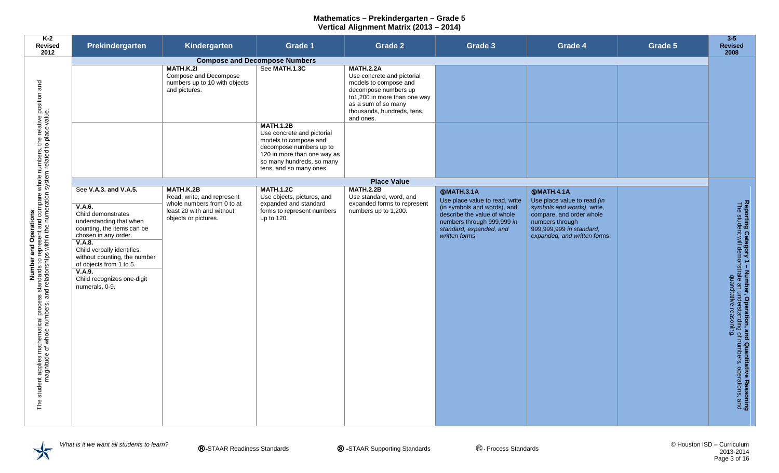| K-2<br><b>Revised</b><br>2012                                                                                                                                                                                                        | Prekindergarten                                                                                                                                                                                                                                                                                     | Kindergarten                                                                                                               | Grade 1                                                                                                                                                                                                                                            | <b>Grade 2</b>                                                                                                                                                                                    | Grade 3                                                                                                                                                                                     | Grade 4                                                                                                                                                                                   | Grade 5 | $3 - 5$<br><b>Revised</b><br>2008                                                                                                                                            |
|--------------------------------------------------------------------------------------------------------------------------------------------------------------------------------------------------------------------------------------|-----------------------------------------------------------------------------------------------------------------------------------------------------------------------------------------------------------------------------------------------------------------------------------------------------|----------------------------------------------------------------------------------------------------------------------------|----------------------------------------------------------------------------------------------------------------------------------------------------------------------------------------------------------------------------------------------------|---------------------------------------------------------------------------------------------------------------------------------------------------------------------------------------------------|---------------------------------------------------------------------------------------------------------------------------------------------------------------------------------------------|-------------------------------------------------------------------------------------------------------------------------------------------------------------------------------------------|---------|------------------------------------------------------------------------------------------------------------------------------------------------------------------------------|
|                                                                                                                                                                                                                                      |                                                                                                                                                                                                                                                                                                     | MATH.K.2I<br>Compose and Decompose<br>numbers up to 10 with objects<br>and pictures.                                       | <b>Compose and Decompose Numbers</b><br>See MATH.1.3C<br><b>MATH.1.2B</b><br>Use concrete and pictorial<br>models to compose and<br>decompose numbers up to<br>120 in more than one way as<br>so many hundreds, so many<br>tens, and so many ones. | <b>MATH.2.2A</b><br>Use concrete and pictorial<br>models to compose and<br>decompose numbers up<br>to1,200 in more than one way<br>as a sum of so many<br>thousands, hundreds, tens,<br>and ones. |                                                                                                                                                                                             |                                                                                                                                                                                           |         |                                                                                                                                                                              |
|                                                                                                                                                                                                                                      |                                                                                                                                                                                                                                                                                                     |                                                                                                                            |                                                                                                                                                                                                                                                    | <b>Place Value</b>                                                                                                                                                                                |                                                                                                                                                                                             |                                                                                                                                                                                           |         |                                                                                                                                                                              |
| Number and Operation interposation and Operations<br>The student applies mathematical process standards to represent and compare whole numbers, the relative position and<br>magnitude of whole numbers, and relationships within th | See V.A.3. and V.A.5.<br>V.A.6.<br>Child demonstrates<br>understanding that when<br>counting, the items can be<br>chosen in any order.<br>V.A.8.<br>Child verbally identifies,<br>without counting, the number<br>of objects from 1 to 5.<br>V.A.9.<br>Child recognizes one-digit<br>numerals, 0-9. | MATH.K.2B<br>Read, write, and represent<br>whole numbers from 0 to at<br>least 20 with and without<br>objects or pictures. | <b>MATH.1.2C</b><br>Use objects, pictures, and<br>expanded and standard<br>forms to represent numbers<br>up to 120.                                                                                                                                | <b>MATH.2.2B</b><br>Use standard, word, and<br>expanded forms to represent<br>numbers up to 1,200.                                                                                                | <b>SMATH.3.1A</b><br>Use place value to read, write<br>(in symbols and words), and<br>describe the value of whole<br>numbers through 999,999 in<br>standard, expanded, and<br>written forms | <b>SMATH.4.1A</b><br>Use place value to read (in<br>symbols and words), write,<br>compare, and order whole<br>numbers through<br>999,999,999 in standard,<br>expanded, and written forms. |         | Reporting Category 1 – Number, Operation, and Quantitative Reasoning<br>The student will demonstrate an understanding of numbers, operations, and<br>quantitative reasoning. |

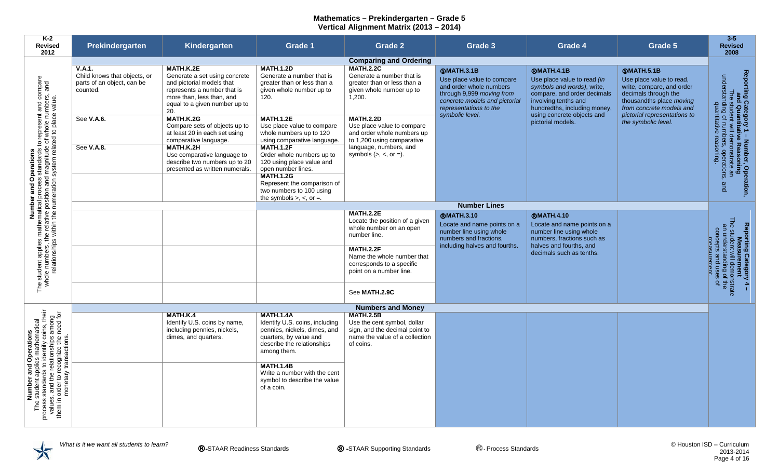| $K-2$<br><b>Revised</b><br>2012                                                                                                                                                                                                        | Prekindergarten                                                                  | Kindergarten                                                                                                                                                                | <b>Grade 1</b>                                                                                                                                                                                                                                              | <b>Grade 2</b>                                                                                                                       | Grade 3                                                                                                                                                                               | Grade 4                                                                                                                                                                                             | Grade 5                                                                                                                                                                                    | $3 - 5$<br><b>Revised</b><br>2008                                                                                                                                                  |
|----------------------------------------------------------------------------------------------------------------------------------------------------------------------------------------------------------------------------------------|----------------------------------------------------------------------------------|-----------------------------------------------------------------------------------------------------------------------------------------------------------------------------|-------------------------------------------------------------------------------------------------------------------------------------------------------------------------------------------------------------------------------------------------------------|--------------------------------------------------------------------------------------------------------------------------------------|---------------------------------------------------------------------------------------------------------------------------------------------------------------------------------------|-----------------------------------------------------------------------------------------------------------------------------------------------------------------------------------------------------|--------------------------------------------------------------------------------------------------------------------------------------------------------------------------------------------|------------------------------------------------------------------------------------------------------------------------------------------------------------------------------------|
|                                                                                                                                                                                                                                        |                                                                                  |                                                                                                                                                                             |                                                                                                                                                                                                                                                             | <b>Comparing and Ordering</b>                                                                                                        |                                                                                                                                                                                       |                                                                                                                                                                                                     |                                                                                                                                                                                            |                                                                                                                                                                                    |
|                                                                                                                                                                                                                                        | V.A.1.<br>Child knows that objects, or<br>parts of an object, can be<br>counted. | MATH.K.2E<br>Generate a set using concrete<br>and pictorial models that<br>represents a number that is<br>more than, less than, and<br>equal to a given number up to<br>20. | <b>MATH.1.2D</b><br>Generate a number that is<br>greater than or less than a<br>given whole number up to<br>120.                                                                                                                                            | <b>MATH.2.2C</b><br>Generate a number that is<br>greater than or less than a<br>given whole number up to<br>1,200.                   | <b>@MATH.3.1B</b><br>Use place value to compare<br>and order whole numbers<br>through 9,999 moving from<br>concrete models and pictorial<br>representations to the<br>symbolic level. | <b>@MATH.4.1B</b><br>Use place value to read (in<br>symbols and words), write,<br>compare, and order decimals<br>involving tenths and<br>hundredths, including money.<br>using concrete objects and | <b>@MATH.5.1B</b><br>Use place value to read,<br>write, compare, and order<br>decimals through the<br>thousandths place moving<br>from concrete models and<br>pictorial representations to | Reporting Category 1 – Number, Operation,<br>and Quantitative Reasoning<br>The student will demonstrate an<br>understanding of numbers, operations, and<br>quantitative reasoning. |
|                                                                                                                                                                                                                                        | See V.A.6.<br>See V.A.8.                                                         | <b>MATH.K.2G</b><br>Compare sets of objects up to<br>at least 20 in each set using<br>comparative language.<br>MATH.K.2H                                                    | <b>MATH.1.2E</b><br>Use place value to compare<br>whole numbers up to 120<br>using comparative language.<br><b>MATH.1.2F</b>                                                                                                                                | <b>MATH.2.2D</b><br>Use place value to compare<br>and order whole numbers up<br>to 1,200 using comparative<br>language, numbers, and |                                                                                                                                                                                       | pictorial models.                                                                                                                                                                                   | the symbolic level.                                                                                                                                                                        |                                                                                                                                                                                    |
| Number and Operations<br>The student applies mathematical process standards to represent and compare<br>whole numbers, the relative position and magnitude of whole numbers, and<br>relationships within the numeration system related |                                                                                  | Use comparative language to<br>describe two numbers up to 20<br>presented as written numerals.                                                                              | Order whole numbers up to<br>120 using place value and<br>open number lines.<br><b>MATH.1.2G</b><br>Represent the comparison of<br>two numbers to 100 using<br>the symbols $>$ , $<$ , or $=$ .                                                             | symbols $(>, <, or =).$                                                                                                              |                                                                                                                                                                                       |                                                                                                                                                                                                     |                                                                                                                                                                                            |                                                                                                                                                                                    |
|                                                                                                                                                                                                                                        |                                                                                  |                                                                                                                                                                             |                                                                                                                                                                                                                                                             |                                                                                                                                      | <b>Number Lines</b>                                                                                                                                                                   |                                                                                                                                                                                                     |                                                                                                                                                                                            |                                                                                                                                                                                    |
|                                                                                                                                                                                                                                        |                                                                                  |                                                                                                                                                                             |                                                                                                                                                                                                                                                             | <b>MATH.2.2E</b><br>Locate the position of a given<br>whole number on an open<br>number line.                                        | <b>@MATH.3.10</b><br>Locate and name points on a<br>number line using whole<br>numbers and fractions,<br>including halves and fourths.                                                | <b>@MATH.4.10</b><br>Locate and name points on a<br>number line using whole<br>numbers, fractions such as<br>halves and fourths, and                                                                |                                                                                                                                                                                            |                                                                                                                                                                                    |
|                                                                                                                                                                                                                                        |                                                                                  |                                                                                                                                                                             |                                                                                                                                                                                                                                                             | <b>MATH.2.2F</b><br>Name the whole number that<br>corresponds to a specific<br>point on a number line.                               |                                                                                                                                                                                       | decimals such as tenths.                                                                                                                                                                            |                                                                                                                                                                                            | Reporting Category 4 –<br>Measurement<br>The student will demonstrate<br>an understanding of the<br>concepts and uses of<br>measurement                                            |
|                                                                                                                                                                                                                                        |                                                                                  |                                                                                                                                                                             |                                                                                                                                                                                                                                                             | See MATH.2.9C                                                                                                                        |                                                                                                                                                                                       |                                                                                                                                                                                                     |                                                                                                                                                                                            |                                                                                                                                                                                    |
|                                                                                                                                                                                                                                        |                                                                                  |                                                                                                                                                                             |                                                                                                                                                                                                                                                             | <b>Numbers and Money</b>                                                                                                             |                                                                                                                                                                                       |                                                                                                                                                                                                     |                                                                                                                                                                                            |                                                                                                                                                                                    |
| Number and Operations<br>The student applies mathematical<br>process standards to identify coins, their<br>values, and the relationships among<br>them in order to recognize the need for<br>monetary transactions.                    |                                                                                  | MATH.K.4<br>Identify U.S. coins by name,<br>including pennies, nickels,<br>dimes, and quarters.                                                                             | <b>MATH.1.4A</b><br>Identify U.S. coins, including<br>pennies, nickels, dimes, and<br>quarters, by value and<br>describe the relationships<br>among them.<br><b>MATH.1.4B</b><br>Write a number with the cent<br>symbol to describe the value<br>of a coin. | <b>MATH.2.5B</b><br>Use the cent symbol, dollar<br>sign, and the decimal point to<br>name the value of a collection<br>of coins.     |                                                                                                                                                                                       |                                                                                                                                                                                                     |                                                                                                                                                                                            |                                                                                                                                                                                    |
|                                                                                                                                                                                                                                        |                                                                                  |                                                                                                                                                                             |                                                                                                                                                                                                                                                             |                                                                                                                                      |                                                                                                                                                                                       |                                                                                                                                                                                                     |                                                                                                                                                                                            |                                                                                                                                                                                    |

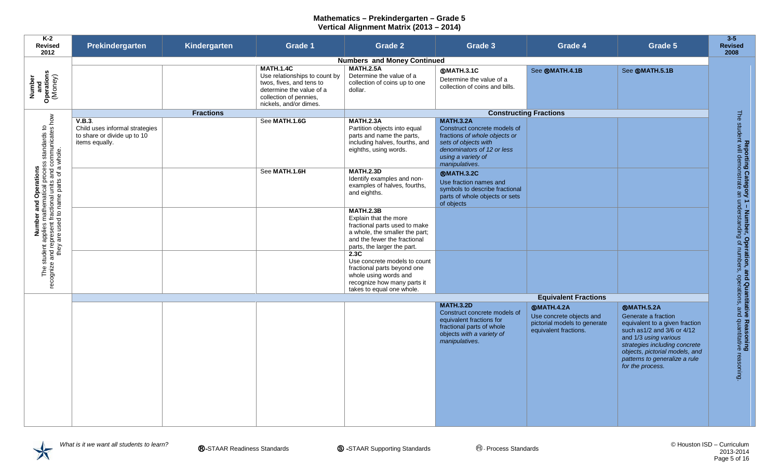| K-2<br><b>Revised</b><br>2012                                                                                                                                                              | Prekindergarten                                                                           | Kindergarten     | <b>Grade 1</b>                                                                                                                                                | <b>Grade 2</b>                                                                                                                                                              | Grade 3                                                                                                                                                                         | Grade 4                                                                                                | Grade 5                                                                                                                                                                                                                                                    | $3 - 5$<br><b>Revised</b><br>2008                                                                                                                                                |
|--------------------------------------------------------------------------------------------------------------------------------------------------------------------------------------------|-------------------------------------------------------------------------------------------|------------------|---------------------------------------------------------------------------------------------------------------------------------------------------------------|-----------------------------------------------------------------------------------------------------------------------------------------------------------------------------|---------------------------------------------------------------------------------------------------------------------------------------------------------------------------------|--------------------------------------------------------------------------------------------------------|------------------------------------------------------------------------------------------------------------------------------------------------------------------------------------------------------------------------------------------------------------|----------------------------------------------------------------------------------------------------------------------------------------------------------------------------------|
|                                                                                                                                                                                            |                                                                                           |                  |                                                                                                                                                               | <b>Numbers and Money Continued</b>                                                                                                                                          |                                                                                                                                                                                 |                                                                                                        |                                                                                                                                                                                                                                                            |                                                                                                                                                                                  |
| Number<br>and<br>Operations<br>(Money)                                                                                                                                                     |                                                                                           |                  | <b>MATH.1.4C</b><br>Use relationships to count by<br>twos, fives, and tens to<br>determine the value of a<br>collection of pennies,<br>nickels, and/or dimes. | <b>MATH.2.5A</b><br>Determine the value of a<br>collection of coins up to one<br>dollar.                                                                                    | <b>@MATH.3.1C</b><br>Determine the value of a<br>collection of coins and bills.                                                                                                 | See ®MATH.4.1B                                                                                         | See <b>SMATH.5.1B</b>                                                                                                                                                                                                                                      |                                                                                                                                                                                  |
|                                                                                                                                                                                            |                                                                                           | <b>Fractions</b> |                                                                                                                                                               |                                                                                                                                                                             |                                                                                                                                                                                 | <b>Constructing Fractions</b>                                                                          |                                                                                                                                                                                                                                                            |                                                                                                                                                                                  |
| Number and Operations<br>The student applies mathematical process standards to<br>recognize and represent fractional units and communicates how<br>they are used to name parts of a whole. | V.B.3.<br>Child uses informal strategies<br>to share or divide up to 10<br>items equally. |                  | See MATH.1.6G                                                                                                                                                 | <b>MATH.2.3A</b><br>Partition objects into equal<br>parts and name the parts,<br>including halves, fourths, and<br>eighths, using words.                                    | <b>MATH.3.2A</b><br>Construct concrete models of<br>fractions of whole objects or<br>sets of objects with<br>denominators of 12 or less<br>using a variety of<br>manipulatives. |                                                                                                        |                                                                                                                                                                                                                                                            |                                                                                                                                                                                  |
|                                                                                                                                                                                            |                                                                                           |                  | See MATH.1.6H                                                                                                                                                 | <b>MATH.2.3D</b><br>Identify examples and non-<br>examples of halves, fourths,<br>and eighths.                                                                              | <b>@MATH.3.2C</b><br>Use fraction names and<br>symbols to describe fractional<br>parts of whole objects or sets<br>of objects                                                   |                                                                                                        |                                                                                                                                                                                                                                                            |                                                                                                                                                                                  |
|                                                                                                                                                                                            |                                                                                           |                  |                                                                                                                                                               | <b>MATH.2.3B</b><br>Explain that the more<br>fractional parts used to make<br>a whole, the smaller the part;<br>and the fewer the fractional<br>parts, the larger the part. |                                                                                                                                                                                 |                                                                                                        |                                                                                                                                                                                                                                                            |                                                                                                                                                                                  |
|                                                                                                                                                                                            |                                                                                           |                  |                                                                                                                                                               | 2.3C<br>Use concrete models to count<br>fractional parts beyond one<br>whole using words and<br>recognize how many parts it<br>takes to equal one whole.                    |                                                                                                                                                                                 |                                                                                                        |                                                                                                                                                                                                                                                            |                                                                                                                                                                                  |
|                                                                                                                                                                                            |                                                                                           |                  |                                                                                                                                                               |                                                                                                                                                                             |                                                                                                                                                                                 | <b>Equivalent Fractions</b>                                                                            |                                                                                                                                                                                                                                                            |                                                                                                                                                                                  |
|                                                                                                                                                                                            |                                                                                           |                  |                                                                                                                                                               |                                                                                                                                                                             | <b>MATH.3.2D</b><br>Construct concrete models of<br>equivalent fractions for<br>fractional parts of whole<br>objects with a variety of<br>manipulatives.                        | <b>@MATH.4.2A</b><br>Use concrete objects and<br>pictorial models to generate<br>equivalent fractions. | <b>®MATH.5.2A</b><br>Generate a fraction<br>equivalent to a given fraction<br>such as 1/2 and 3/6 or 4/12<br>and 1/3 using various<br>strategies including concrete<br>objects, pictorial models, and<br>patterns to generalize a rule<br>for the process. | <b>Reporting Category 1 – Number, Operation, and Quantitative Reasoning<br/>The student will demonstrate an understanding of numbers, operations, and quantitative reasoning</b> |

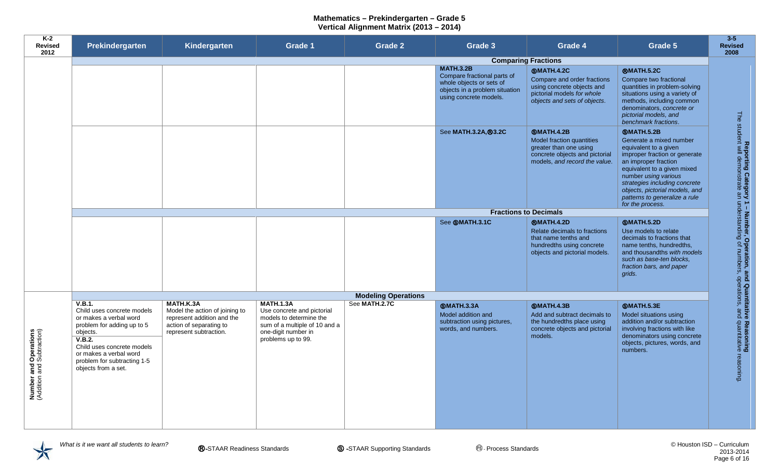| K-2<br><b>Revised</b><br>2012                              | Prekindergarten                                                                                                                                                                                                                  | Kindergarten                                                                                                                   | <b>Grade 1</b>                                                                                                                                          | <b>Grade 2</b>             | Grade 3                                                                                                                                 | Grade 4                                                                                                                                      | Grade 5                                                                                                                                                                                                                                                                                                       | $3 - 5$<br><b>Revised</b><br>2008                                                  |
|------------------------------------------------------------|----------------------------------------------------------------------------------------------------------------------------------------------------------------------------------------------------------------------------------|--------------------------------------------------------------------------------------------------------------------------------|---------------------------------------------------------------------------------------------------------------------------------------------------------|----------------------------|-----------------------------------------------------------------------------------------------------------------------------------------|----------------------------------------------------------------------------------------------------------------------------------------------|---------------------------------------------------------------------------------------------------------------------------------------------------------------------------------------------------------------------------------------------------------------------------------------------------------------|------------------------------------------------------------------------------------|
|                                                            |                                                                                                                                                                                                                                  |                                                                                                                                |                                                                                                                                                         |                            | <b>Comparing Fractions</b>                                                                                                              |                                                                                                                                              |                                                                                                                                                                                                                                                                                                               |                                                                                    |
|                                                            |                                                                                                                                                                                                                                  |                                                                                                                                |                                                                                                                                                         |                            | <b>MATH.3.2B</b><br>Compare fractional parts of<br>whole objects or sets of<br>objects in a problem situation<br>using concrete models. | <b>@MATH.4.2C</b><br>Compare and order fractions<br>using concrete objects and<br>pictorial models for whole<br>objects and sets of objects. | ®MATH.5.2C<br>Compare two fractional<br>quantities in problem-solving<br>situations using a variety of<br>methods, including common<br>denominators, concrete or<br>pictorial models, and<br>benchmark fractions.                                                                                             |                                                                                    |
|                                                            |                                                                                                                                                                                                                                  |                                                                                                                                |                                                                                                                                                         |                            | See MATH.3.2A, ®3.2C                                                                                                                    | <b>@MATH.4.2B</b><br>Model fraction quantities<br>greater than one using<br>concrete objects and pictorial<br>models, and record the value.  | <b>@MATH.5.2B</b><br>Generate a mixed number<br>equivalent to a given<br>improper fraction or generate<br>an improper fraction<br>equivalent to a given mixed<br>number using various<br>strategies including concrete<br>objects, pictorial models, and<br>patterns to generalize a rule<br>for the process. | Reporting Category<br>The student will demonstrate an                              |
|                                                            |                                                                                                                                                                                                                                  |                                                                                                                                |                                                                                                                                                         |                            | <b>Fractions to Decimals</b>                                                                                                            |                                                                                                                                              |                                                                                                                                                                                                                                                                                                               |                                                                                    |
|                                                            |                                                                                                                                                                                                                                  |                                                                                                                                |                                                                                                                                                         |                            | See <b>@MATH.3.1C</b>                                                                                                                   | <b>@MATH.4.2D</b><br>Relate decimals to fractions<br>that name tenths and<br>hundredths using concrete<br>objects and pictorial models.      | <b>@MATH.5.2D</b><br>Use models to relate<br>decimals to fractions that<br>name tenths, hundredths,<br>and thousandths with models<br>such as base-ten blocks.<br>fraction bars, and paper<br>grids.                                                                                                          | 1 – Number, Operation, a<br>understanding of numbers,                              |
|                                                            |                                                                                                                                                                                                                                  |                                                                                                                                |                                                                                                                                                         | <b>Modeling Operations</b> |                                                                                                                                         |                                                                                                                                              |                                                                                                                                                                                                                                                                                                               |                                                                                    |
| <b>Number and Operations</b><br>(Addition and Subtraction) | V.B.1.<br>Child uses concrete models<br>or makes a verbal word<br>problem for adding up to 5<br>objects.<br>V.B.2.<br>Child uses concrete models<br>or makes a verbal word<br>problem for subtracting 1-5<br>objects from a set. | MATH.K.3A<br>Model the action of joining to<br>represent addition and the<br>action of separating to<br>represent subtraction. | <b>MATH.1.3A</b><br>Use concrete and pictorial<br>models to determine the<br>sum of a multiple of 10 and a<br>one-digit number in<br>problems up to 99. | See MATH.2.7C              | <b>@MATH.3.3A</b><br>Model addition and<br>subtraction using pictures,<br>words, and numbers.                                           | <b>SMATH.4.3B</b><br>Add and subtract decimals to<br>the hundredths place using<br>concrete objects and pictorial<br>models.                 | <b>@MATH.5.3E</b><br>Model situations using<br>addition and/or subtraction<br>involving fractions with like<br>denominators using concrete<br>objects, pictures, words, and<br>numbers.                                                                                                                       | nd Quantitative<br>operations, and<br>e Reasoning<br>I quantitative ।<br>reasoning |

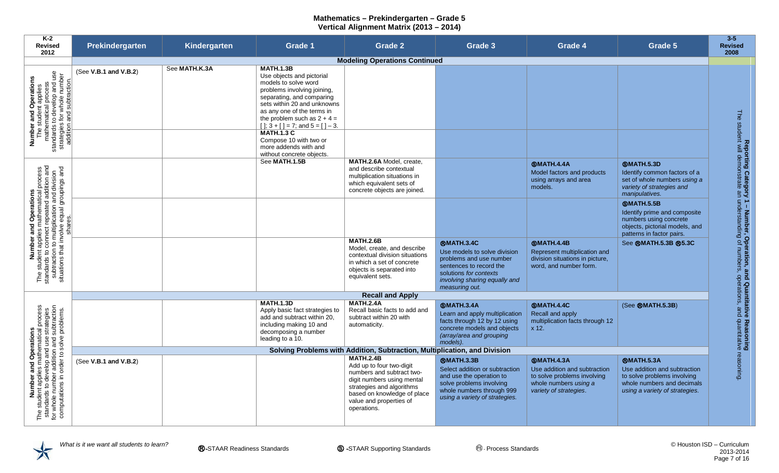| K-2<br><b>Revised</b><br>2012                                                                                                                                                                                                  | Prekindergarten       | Kindergarten  | <b>Grade 1</b>                                                                                                                                                                                                                                                                                                                                                                         | <b>Grade 2</b>                                                                                                                                                                                                | Grade 3                                                                                                                                                                              | Grade 4                                                                                                                             | Grade 5                                                                                                                                          | $3-5$<br><b>Revised</b><br>2008                                                                                                                            |
|--------------------------------------------------------------------------------------------------------------------------------------------------------------------------------------------------------------------------------|-----------------------|---------------|----------------------------------------------------------------------------------------------------------------------------------------------------------------------------------------------------------------------------------------------------------------------------------------------------------------------------------------------------------------------------------------|---------------------------------------------------------------------------------------------------------------------------------------------------------------------------------------------------------------|--------------------------------------------------------------------------------------------------------------------------------------------------------------------------------------|-------------------------------------------------------------------------------------------------------------------------------------|--------------------------------------------------------------------------------------------------------------------------------------------------|------------------------------------------------------------------------------------------------------------------------------------------------------------|
|                                                                                                                                                                                                                                |                       |               |                                                                                                                                                                                                                                                                                                                                                                                        | <b>Modeling Operations Continued</b>                                                                                                                                                                          |                                                                                                                                                                                      |                                                                                                                                     |                                                                                                                                                  |                                                                                                                                                            |
| Number and Operations<br>The student applies<br>mathematical process<br>standards to develop and use<br>strategies for whole number<br>addition and subtraction.                                                               | (See V.B.1 and V.B.2) | See MATH.K.3A | <b>MATH.1.3B</b><br>Use objects and pictorial<br>models to solve word<br>problems involving joining,<br>separating, and comparing<br>sets within 20 and unknowns<br>as any one of the terms in<br>the problem such as $2 + 4 =$<br>$[$ $]; 3 + [$ $] = 7$ ; and $5 = [$ $] - 3$ .<br><b>MATH.1.3 C</b><br>Compose 10 with two or<br>more addends with and<br>without concrete objects. |                                                                                                                                                                                                               |                                                                                                                                                                                      |                                                                                                                                     |                                                                                                                                                  | <b>The</b>                                                                                                                                                 |
|                                                                                                                                                                                                                                |                       |               | See MATH.1.5B                                                                                                                                                                                                                                                                                                                                                                          | MATH.2.6A Model, create.<br>and describe contextual<br>multiplication situations in<br>which equivalent sets of<br>concrete objects are joined.                                                               |                                                                                                                                                                                      | <b>SMATH.4.4A</b><br>Model factors and products<br>using arrays and area<br>models.                                                 | <b>@MATH.5.3D</b><br>Identify common factors of a<br>set of whole numbers using a<br>variety of strategies and<br>manipulatives.                 |                                                                                                                                                            |
| <b>Number and Operations</b><br>The student applies mathematical process<br>standards to connect repeated addition and<br>subtraction to multiplication and division<br>situations that involve equal groupings and<br>shares. |                       |               |                                                                                                                                                                                                                                                                                                                                                                                        |                                                                                                                                                                                                               |                                                                                                                                                                                      |                                                                                                                                     | <b>SMATH.5.5B</b><br>Identify prime and composite<br>numbers using concrete<br>objects, pictorial models, and<br>patterns in factor pairs.       |                                                                                                                                                            |
|                                                                                                                                                                                                                                |                       |               |                                                                                                                                                                                                                                                                                                                                                                                        | <b>MATH.2.6B</b><br>Model, create, and describe<br>contextual division situations<br>in which a set of concrete<br>objects is separated into<br>equivalent sets.                                              | <b>®MATH.3.4C</b><br>Use models to solve division<br>problems and use number<br>sentences to record the<br>solutions for contexts<br>involving sharing equally and<br>measuring out. | <b>@MATH.4.4B</b><br>Represent multiplication and<br>division situations in picture,<br>word, and number form.                      | See ®MATH.5.3B ®5.3C                                                                                                                             | Reporting Category 1 – Number, Operation, and Quantitative Reasoning<br>student will demonstrate an understanding of numbers, operations, and quantitative |
|                                                                                                                                                                                                                                |                       |               |                                                                                                                                                                                                                                                                                                                                                                                        | <b>Recall and Apply</b>                                                                                                                                                                                       |                                                                                                                                                                                      |                                                                                                                                     |                                                                                                                                                  |                                                                                                                                                            |
|                                                                                                                                                                                                                                |                       |               | <b>MATH.1.3D</b><br>Apply basic fact strategies to<br>add and subtract within 20,<br>including making 10 and<br>decomposing a number<br>leading to a 10.                                                                                                                                                                                                                               | <b>MATH.2.4A</b><br>Recall basic facts to add and<br>subtract within 20 with<br>automaticity.                                                                                                                 | <b>SMATH.3.4A</b><br>Learn and apply multiplication<br>facts through 12 by 12 using<br>concrete models and objects<br>(array/area and grouping<br>models).                           | <b>SMATH.4.4C</b><br>Recall and apply<br>multiplication facts through 12<br>x 12.                                                   | (See @MATH.5.3B)                                                                                                                                 |                                                                                                                                                            |
|                                                                                                                                                                                                                                |                       |               |                                                                                                                                                                                                                                                                                                                                                                                        | Solving Problems with Addition, Subtraction, Multiplication, and Division                                                                                                                                     |                                                                                                                                                                                      |                                                                                                                                     |                                                                                                                                                  |                                                                                                                                                            |
| Number and Operations<br>The student applies mathematical process<br>standards to develop and use strategies<br>for whole number addition and subtraction<br>computations in order to solve problems.                          | (See V.B.1 and V.B.2) |               |                                                                                                                                                                                                                                                                                                                                                                                        | <b>MATH.2.4B</b><br>Add up to four two-digit<br>numbers and subtract two-<br>digit numbers using mental<br>strategies and algorithms<br>based on knowledge of place<br>value and properties of<br>operations. | <b>®MATH.3.3B</b><br>Select addition or subtraction<br>and use the operation to<br>solve problems involving<br>whole numbers through 999<br>using a variety of strategies.           | <b>SMATH.4.3A</b><br>Use addition and subtraction<br>to solve problems involving<br>whole numbers using a<br>variety of strategies. | <b>®MATH.5.3A</b><br>Use addition and subtraction<br>to solve problems involving<br>whole numbers and decimals<br>using a variety of strategies. | reasoning                                                                                                                                                  |

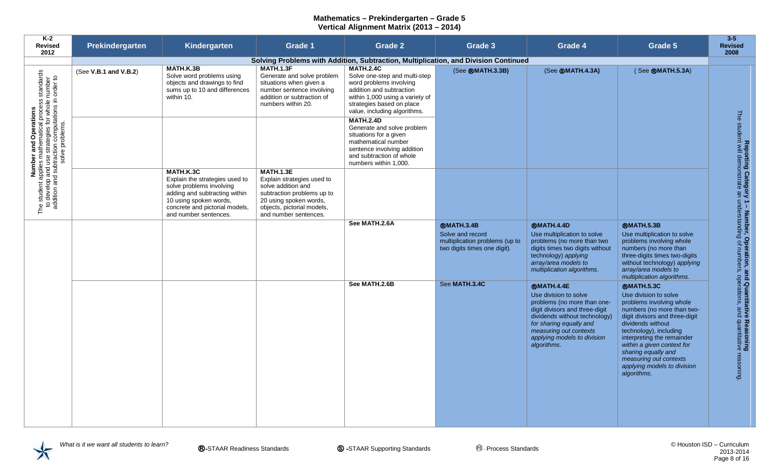| K-2<br><b>Revised</b><br>2012                                                                                                                                                                                                           | Prekindergarten       | Kindergarten                                                                                                                                                                                  | Grade 1                                                                                                                                                                             | <b>Grade 2</b>                                                                                                                                                                                           | Grade 3                                                                                                 | Grade 4                                                                                                                                                                                                                                         | Grade 5                                                                                                                                                                                                                                                                                                                                          | $3 - 5$<br><b>Revised</b><br>2008                                                                                                                                           |
|-----------------------------------------------------------------------------------------------------------------------------------------------------------------------------------------------------------------------------------------|-----------------------|-----------------------------------------------------------------------------------------------------------------------------------------------------------------------------------------------|-------------------------------------------------------------------------------------------------------------------------------------------------------------------------------------|----------------------------------------------------------------------------------------------------------------------------------------------------------------------------------------------------------|---------------------------------------------------------------------------------------------------------|-------------------------------------------------------------------------------------------------------------------------------------------------------------------------------------------------------------------------------------------------|--------------------------------------------------------------------------------------------------------------------------------------------------------------------------------------------------------------------------------------------------------------------------------------------------------------------------------------------------|-----------------------------------------------------------------------------------------------------------------------------------------------------------------------------|
|                                                                                                                                                                                                                                         |                       |                                                                                                                                                                                               |                                                                                                                                                                                     |                                                                                                                                                                                                          | Solving Problems with Addition, Subtraction, Multiplication, and Division Continued                     |                                                                                                                                                                                                                                                 |                                                                                                                                                                                                                                                                                                                                                  |                                                                                                                                                                             |
|                                                                                                                                                                                                                                         | (See V.B.1 and V.B.2) | MATH.K.3B<br>Solve word problems using<br>objects and drawings to find<br>sums up to 10 and differences<br>within 10.                                                                         | <b>MATH.1.3F</b><br>Generate and solve problem<br>situations when given a<br>number sentence involving<br>addition or subtraction of<br>numbers within 20.                          | <b>MATH.2.4C</b><br>Solve one-step and multi-step<br>word problems involving<br>addition and subtraction<br>within 1,000 using a variety of<br>strategies based on place<br>value, including algorithms. | (See ®MATH.3.3B)                                                                                        | (See <b>@MATH.4.3A)</b>                                                                                                                                                                                                                         | (See ®MATH.5.3A)                                                                                                                                                                                                                                                                                                                                 |                                                                                                                                                                             |
| Number and Operations<br>The student applies mathematical process standards<br>to develop and use strategies for whole number<br>addition and subtraction computations in order to<br>addition and subtraction computations in order to |                       |                                                                                                                                                                                               |                                                                                                                                                                                     | <b>MATH.2.4D</b><br>Generate and solve problem<br>situations for a given<br>mathematical number<br>sentence involving addition<br>and subtraction of whole<br>numbers within 1,000.                      |                                                                                                         |                                                                                                                                                                                                                                                 |                                                                                                                                                                                                                                                                                                                                                  |                                                                                                                                                                             |
|                                                                                                                                                                                                                                         |                       | MATH.K.3C<br>Explain the strategies used to<br>solve problems involving<br>adding and subtracting within<br>10 using spoken words,<br>concrete and pictorial models,<br>and number sentences. | <b>MATH.1.3E</b><br>Explain strategies used to<br>solve addition and<br>subtraction problems up to<br>20 using spoken words,<br>objects, pictorial models,<br>and number sentences. |                                                                                                                                                                                                          |                                                                                                         |                                                                                                                                                                                                                                                 |                                                                                                                                                                                                                                                                                                                                                  |                                                                                                                                                                             |
|                                                                                                                                                                                                                                         |                       |                                                                                                                                                                                               |                                                                                                                                                                                     | See MATH.2.6A                                                                                                                                                                                            | <b>@MATH.3.4B</b><br>Solve and record<br>multiplication problems (up to<br>two digits times one digit). | <b>®MATH.4.4D</b><br>Use multiplication to solve<br>problems (no more than two<br>digits times two digits without<br>technology) applying<br>array/area models to<br>multiplication algorithms.                                                 | <b>@MATH.5.3B</b><br>Use multiplication to solve<br>problems involving whole<br>numbers (no more than<br>three-digits times two-digits<br>without technology) applying<br>array/area models to<br>multiplication algorithms.                                                                                                                     |                                                                                                                                                                             |
|                                                                                                                                                                                                                                         |                       |                                                                                                                                                                                               |                                                                                                                                                                                     | See MATH.2.6B                                                                                                                                                                                            | See MATH.3.4C                                                                                           | <b>®MATH.4.4E</b><br>Use division to solve<br>problems (no more than one-<br>digit divisors and three-digit<br>dividends without technology)<br>for sharing equally and<br>measuring out contexts<br>applying models to division<br>algorithms. | <b>®MATH.5.3C</b><br>Use division to solve<br>problems involving whole<br>numbers (no more than two-<br>digit divisors and three-digit<br>dividends without<br>technology), including<br>interpreting the remainder<br>within a given context for<br>sharing equally and<br>measuring out contexts<br>applying models to division<br>algorithms. | Reporting Category 1 - Number, Operation, and Quantitative Reasoning<br>The student will demonstrate an understanding of numbers, operations, and quantitative<br>reasoning |
|                                                                                                                                                                                                                                         |                       |                                                                                                                                                                                               |                                                                                                                                                                                     |                                                                                                                                                                                                          |                                                                                                         |                                                                                                                                                                                                                                                 |                                                                                                                                                                                                                                                                                                                                                  |                                                                                                                                                                             |

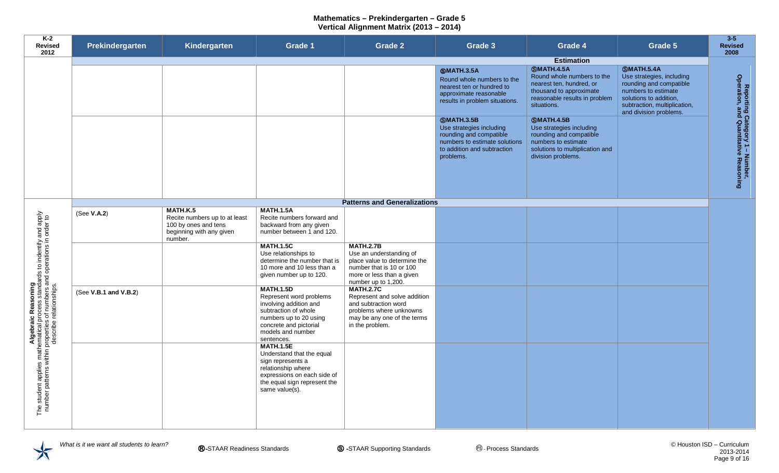| K-2<br><b>Revised</b><br>2012                                                                                                                                                                          | Prekindergarten       | Kindergarten                                                                                             | <b>Grade 1</b>                                                                                                                                                                       | <b>Grade 2</b>                                                                                                                                              | Grade 3                                                                                                                                               | Grade 4                                                                                                                                                  | Grade 5                                                                                                                                                                              | $3 - 5$<br><b>Revised</b><br>2008                                       |
|--------------------------------------------------------------------------------------------------------------------------------------------------------------------------------------------------------|-----------------------|----------------------------------------------------------------------------------------------------------|--------------------------------------------------------------------------------------------------------------------------------------------------------------------------------------|-------------------------------------------------------------------------------------------------------------------------------------------------------------|-------------------------------------------------------------------------------------------------------------------------------------------------------|----------------------------------------------------------------------------------------------------------------------------------------------------------|--------------------------------------------------------------------------------------------------------------------------------------------------------------------------------------|-------------------------------------------------------------------------|
|                                                                                                                                                                                                        |                       |                                                                                                          |                                                                                                                                                                                      |                                                                                                                                                             |                                                                                                                                                       | <b>Estimation</b>                                                                                                                                        |                                                                                                                                                                                      |                                                                         |
|                                                                                                                                                                                                        |                       |                                                                                                          |                                                                                                                                                                                      |                                                                                                                                                             | <b>@MATH.3.5A</b><br>Round whole numbers to the<br>nearest ten or hundred to<br>approximate reasonable<br>results in problem situations.              | <b>SMATH.4.5A</b><br>Round whole numbers to the<br>nearest ten, hundred, or<br>thousand to approximate<br>reasonable results in problem<br>situations.   | <b>SMATH.5.4A</b><br>Use strategies, including<br>rounding and compatible<br>numbers to estimate<br>solutions to addition,<br>subtraction, multiplication,<br>and division problems. |                                                                         |
|                                                                                                                                                                                                        |                       |                                                                                                          |                                                                                                                                                                                      |                                                                                                                                                             | <b>SMATH.3.5B</b><br>Use strategies including<br>rounding and compatible<br>numbers to estimate solutions<br>to addition and subtraction<br>problems. | <b>SMATH.4.5B</b><br>Use strategies including<br>rounding and compatible<br>numbers to estimate<br>solutions to multiplication and<br>division problems. |                                                                                                                                                                                      | Reporting Category 1 – Number,<br>Operation, and Quantitative Reasoning |
|                                                                                                                                                                                                        |                       |                                                                                                          |                                                                                                                                                                                      | <b>Patterns and Generalizations</b>                                                                                                                         |                                                                                                                                                       |                                                                                                                                                          |                                                                                                                                                                                      |                                                                         |
|                                                                                                                                                                                                        | (See V.A.2)           | MATH.K.5<br>Recite numbers up to at least<br>100 by ones and tens<br>beginning with any given<br>number. | <b>MATH.1.5A</b><br>Recite numbers forward and<br>backward from any given<br>number between 1 and 120.                                                                               |                                                                                                                                                             |                                                                                                                                                       |                                                                                                                                                          |                                                                                                                                                                                      |                                                                         |
|                                                                                                                                                                                                        |                       |                                                                                                          | <b>MATH.1.5C</b><br>Use relationships to<br>determine the number that is<br>10 more and 10 less than a<br>given number up to 120.                                                    | <b>MATH.2.7B</b><br>Use an understanding of<br>place value to determine the<br>number that is 10 or 100<br>more or less than a given<br>number up to 1,200. |                                                                                                                                                       |                                                                                                                                                          |                                                                                                                                                                                      |                                                                         |
|                                                                                                                                                                                                        | (See V.B.1 and V.B.2) |                                                                                                          | <b>MATH.1.5D</b><br>Represent word problems<br>involving addition and<br>subtraction of whole<br>numbers up to 20 using<br>concrete and pictorial<br>models and number<br>sentences. | <b>MATH.2.7C</b><br>Represent and solve addition<br>and subtraction word<br>problems where unknowns<br>may be any one of the terms<br>in the problem.       |                                                                                                                                                       |                                                                                                                                                          |                                                                                                                                                                                      |                                                                         |
| Algebraic Reasoning<br>The student applies mathematical process standards to indentify and apply<br>number patterns within properties of numbers and operations in order to<br>describe relationships. |                       |                                                                                                          | <b>MATH.1.5E</b><br>Understand that the equal<br>sign represents a<br>relationship where<br>expressions on each side of<br>the equal sign represent the<br>same value(s).            |                                                                                                                                                             |                                                                                                                                                       |                                                                                                                                                          |                                                                                                                                                                                      |                                                                         |
|                                                                                                                                                                                                        |                       |                                                                                                          |                                                                                                                                                                                      |                                                                                                                                                             |                                                                                                                                                       |                                                                                                                                                          |                                                                                                                                                                                      |                                                                         |

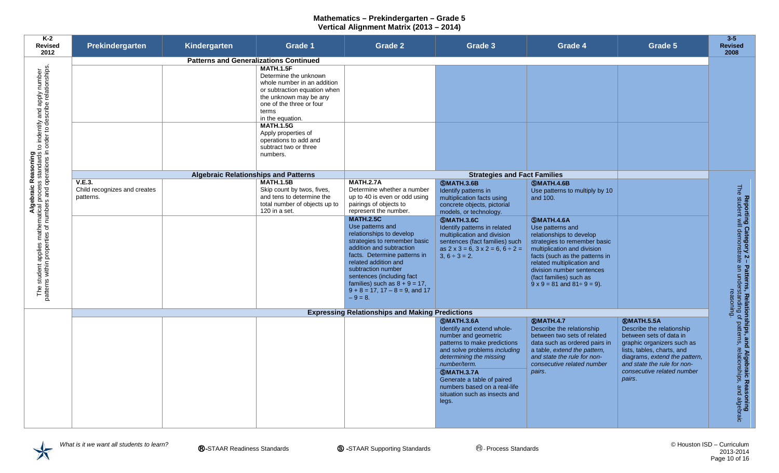| Prekindergarten                           | Kindergarten | <b>Grade 1</b>                                                                                                                                                                                                                                                                           | Grade 2                                                                                                                                                                                                                                                                        | Grade 3                                                                                                                                                                                                                                                                                                          | Grade 4                                                                                                                                                                                                              | Grade 5                                                                                                                                                                                                                                       | $3-5$<br><b>Revised</b><br>2008                                                                                                                                                  |
|-------------------------------------------|--------------|------------------------------------------------------------------------------------------------------------------------------------------------------------------------------------------------------------------------------------------------------------------------------------------|--------------------------------------------------------------------------------------------------------------------------------------------------------------------------------------------------------------------------------------------------------------------------------|------------------------------------------------------------------------------------------------------------------------------------------------------------------------------------------------------------------------------------------------------------------------------------------------------------------|----------------------------------------------------------------------------------------------------------------------------------------------------------------------------------------------------------------------|-----------------------------------------------------------------------------------------------------------------------------------------------------------------------------------------------------------------------------------------------|----------------------------------------------------------------------------------------------------------------------------------------------------------------------------------|
|                                           |              |                                                                                                                                                                                                                                                                                          |                                                                                                                                                                                                                                                                                |                                                                                                                                                                                                                                                                                                                  |                                                                                                                                                                                                                      |                                                                                                                                                                                                                                               |                                                                                                                                                                                  |
|                                           |              | <b>MATH.1.5F</b><br>Determine the unknown<br>whole number in an addition<br>or subtraction equation when<br>the unknown may be any<br>one of the three or four<br>terms<br>in the equation.<br><b>MATH.1.5G</b><br>Apply properties of<br>operations to add and<br>subtract two or three |                                                                                                                                                                                                                                                                                |                                                                                                                                                                                                                                                                                                                  |                                                                                                                                                                                                                      |                                                                                                                                                                                                                                               |                                                                                                                                                                                  |
|                                           |              | numbers.                                                                                                                                                                                                                                                                                 |                                                                                                                                                                                                                                                                                |                                                                                                                                                                                                                                                                                                                  |                                                                                                                                                                                                                      |                                                                                                                                                                                                                                               |                                                                                                                                                                                  |
|                                           |              |                                                                                                                                                                                                                                                                                          |                                                                                                                                                                                                                                                                                |                                                                                                                                                                                                                                                                                                                  |                                                                                                                                                                                                                      |                                                                                                                                                                                                                                               |                                                                                                                                                                                  |
|                                           |              |                                                                                                                                                                                                                                                                                          |                                                                                                                                                                                                                                                                                |                                                                                                                                                                                                                                                                                                                  |                                                                                                                                                                                                                      |                                                                                                                                                                                                                                               |                                                                                                                                                                                  |
| Child recognizes and creates<br>patterns. |              | Skip count by twos, fives,<br>and tens to determine the<br>total number of objects up to<br>120 in a set.                                                                                                                                                                                | Determine whether a number<br>up to 40 is even or odd using<br>pairings of objects to<br>represent the number.<br><b>MATH.2.5C</b><br>Use patterns and<br>relationships to develop<br>strategies to remember basic<br>addition and subtraction<br>facts. Determine patterns in | Identify patterns in<br>multiplication facts using<br>concrete objects, pictorial<br>models, or technology.<br><b>SMATH.3.6C</b><br>Identify patterns in related<br>multiplication and division<br>sentences (fact families) such<br>as $2 \times 3 = 6$ , $3 \times 2 = 6$ , $6 \div 2 =$<br>$3, 6 \div 3 = 2.$ | Use patterns to multiply by 10<br>and 100.<br><b>SMATH.4.6A</b><br>Use patterns and<br>relationships to develop<br>strategies to remember basic<br>multiplication and division<br>facts (such as the patterns in     |                                                                                                                                                                                                                                               |                                                                                                                                                                                  |
|                                           |              |                                                                                                                                                                                                                                                                                          | subtraction number<br>sentences (including fact<br>families) such as $8 + 9 = 17$ ,<br>$9 + 8 = 17$ , $17 - 8 = 9$ , and 17<br>$-9=8.$                                                                                                                                         |                                                                                                                                                                                                                                                                                                                  | division number sentences<br>(fact families) such as<br>$9 \times 9 = 81$ and $81 \div 9 = 9$ ).                                                                                                                     |                                                                                                                                                                                                                                               |                                                                                                                                                                                  |
|                                           |              |                                                                                                                                                                                                                                                                                          |                                                                                                                                                                                                                                                                                |                                                                                                                                                                                                                                                                                                                  |                                                                                                                                                                                                                      |                                                                                                                                                                                                                                               |                                                                                                                                                                                  |
|                                           |              |                                                                                                                                                                                                                                                                                          |                                                                                                                                                                                                                                                                                | <b>SMATH.3.6A</b><br>Identify and extend whole-<br>number and geometric<br>patterns to make predictions<br>and solve problems including<br>determining the missing<br>number/term.<br><b>SMATH.3.7A</b><br>Generate a table of paired<br>numbers based on a real-life<br>situation such as insects and<br>legs.  | <b>RMATH.4.7</b><br>Describe the relationship<br>between two sets of related<br>data such as ordered pairs in<br>a table, extend the pattern,<br>and state the rule for non-<br>consecutive related number<br>pairs. | <b>RMATH.5.5A</b><br>Describe the relationship<br>between sets of data in<br>graphic organizers such as<br>lists, tables, charts, and<br>diagrams, extend the pattern,<br>and state the rule for non-<br>consecutive related number<br>pairs. | Reporting Category 2 – Patterns, Relationships, and Algebraic Reasoning<br>The student will demonstrate an understanding of patterns, relationships, and algebraic<br>reasoning. |
|                                           | V.E.3.       |                                                                                                                                                                                                                                                                                          | <b>Patterns and Generalizations Continued</b><br><b>Algebraic Relationships and Patterns</b><br><b>MATH.1.5B</b>                                                                                                                                                               | <b>MATH.2.7A</b><br>related addition and                                                                                                                                                                                                                                                                         | <b>SMATH.3.6B</b><br><b>Expressing Relationships and Making Predictions</b>                                                                                                                                          | <b>Strategies and Fact Families</b><br><b>SMATH.4.6B</b><br>related multiplication and                                                                                                                                                        |                                                                                                                                                                                  |

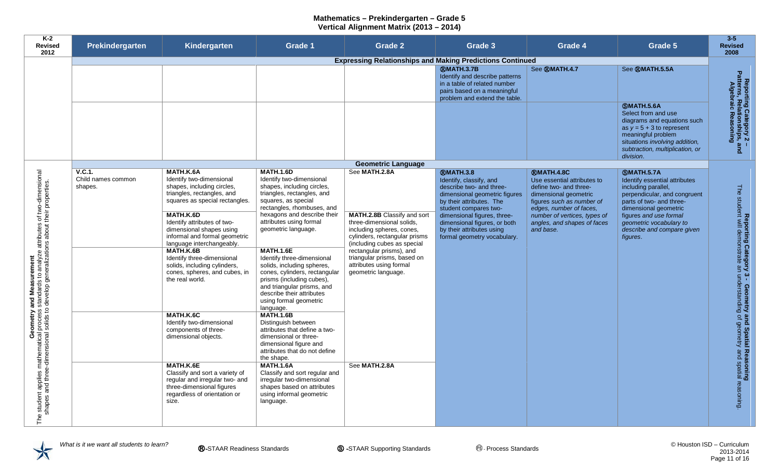| K-2<br>Revised<br>2012                                                                                                                                                   | Prekindergarten                         | Kindergarten                                                                                                                                        | <b>Grade 1</b>                                                                                                                                                                                                                               | <b>Grade 2</b>                                                                                                                                               | Grade 3                                                                                                                                                       | Grade 4                                                                                                                                                     | Grade 5                                                                                                                                                                                                        | $3-5$<br><b>Revised</b><br>2008                                                                          |
|--------------------------------------------------------------------------------------------------------------------------------------------------------------------------|-----------------------------------------|-----------------------------------------------------------------------------------------------------------------------------------------------------|----------------------------------------------------------------------------------------------------------------------------------------------------------------------------------------------------------------------------------------------|--------------------------------------------------------------------------------------------------------------------------------------------------------------|---------------------------------------------------------------------------------------------------------------------------------------------------------------|-------------------------------------------------------------------------------------------------------------------------------------------------------------|----------------------------------------------------------------------------------------------------------------------------------------------------------------------------------------------------------------|----------------------------------------------------------------------------------------------------------|
|                                                                                                                                                                          |                                         |                                                                                                                                                     |                                                                                                                                                                                                                                              |                                                                                                                                                              | <b>Expressing Relationships and Making Predictions Continued</b>                                                                                              |                                                                                                                                                             |                                                                                                                                                                                                                |                                                                                                          |
|                                                                                                                                                                          |                                         |                                                                                                                                                     |                                                                                                                                                                                                                                              |                                                                                                                                                              | <b>®MATH.3.7B</b><br>Identify and describe patterns<br>in a table of related number<br>pairs based on a meaningful<br>problem and extend the table.           | See ®MATH.4.7                                                                                                                                               | See <b>®MATH.5.5A</b>                                                                                                                                                                                          |                                                                                                          |
|                                                                                                                                                                          |                                         |                                                                                                                                                     |                                                                                                                                                                                                                                              |                                                                                                                                                              |                                                                                                                                                               |                                                                                                                                                             | <b>SMATH.5.6A</b><br>Select from and use<br>diagrams and equations such<br>as $y = 5 + 3$ to represent<br>meaningful problem<br>situations involving addition,<br>subtraction, multiplication, or<br>division. | Reporting Category 2<br>Patterns, Relationships,<br>Algebraic Reasoning<br>$\frac{1}{2}$                 |
|                                                                                                                                                                          |                                         |                                                                                                                                                     |                                                                                                                                                                                                                                              | <b>Geometric Language</b>                                                                                                                                    |                                                                                                                                                               |                                                                                                                                                             |                                                                                                                                                                                                                |                                                                                                          |
| of two-dimensional<br>their properties.                                                                                                                                  | V.C.1.<br>Child names common<br>shapes. | MATH.K.6A<br>Identify two-dimensional<br>shapes, including circles,<br>triangles, rectangles, and<br>squares as special rectangles.                 | <b>MATH.1.6D</b><br>Identify two-dimensional<br>shapes, including circles,<br>triangles, rectangles, and<br>squares, as special<br>rectangles, rhombuses, and                                                                                | See MATH.2.8A                                                                                                                                                | <b>RMATH.3.8</b><br>Identify, classify, and<br>describe two- and three-<br>dimensional geometric figures<br>by their attributes. The<br>student compares two- | <b>RMATH.4.8C</b><br>Use essential attributes to<br>define two- and three-<br>dimensional geometric<br>figures such as number of<br>edges, number of faces, | <b>SMATH.5.7A</b><br>Identify essential attributes<br>including parallel,<br>perpendicular, and congruent<br>parts of two- and three-<br>dimensional geometric                                                 |                                                                                                          |
|                                                                                                                                                                          |                                         | MATH.K.6D<br>Identify attributes of two-<br>dimensional shapes using<br>informal and formal geometric<br>language interchangeably.                  | hexagons and describe their<br>attributes using formal<br>geometric language.                                                                                                                                                                | <b>MATH.2.8B</b> Classify and sort<br>three-dimensional solids,<br>including spheres, cones,<br>cylinders, rectangular prisms<br>(including cubes as special | dimensional figures, three-<br>dimensional figures, or both<br>by their attributes using<br>formal geometry vocabulary.                                       | number of vertices, types of<br>angles, and shapes of faces<br>and base.                                                                                    | figures and use formal<br>geometric vocabulary to<br>describe and compare given<br>figures.                                                                                                                    |                                                                                                          |
| Geometry and Measurement<br>student applies mathematical process standards to analyze attributes<br>shapes and three-dimensional solids to develop generalizations about |                                         | MATH.K.6B<br>Identify three-dimensional<br>solids, including cylinders,<br>cones, spheres, and cubes, in<br>the real world.                         | <b>MATH.1.6E</b><br>Identify three-dimensional<br>solids, including spheres,<br>cones, cylinders, rectangular<br>prisms (including cubes),<br>and triangular prisms, and<br>describe their attributes<br>using formal geometric<br>language. | rectangular prisms), and<br>triangular prisms, based on<br>attributes using formal<br>geometric language.                                                    |                                                                                                                                                               |                                                                                                                                                             |                                                                                                                                                                                                                | Reporting Category 3 - Geometry and Spatial<br>The student will demonstrate an understanding of geometry |
|                                                                                                                                                                          |                                         | MATH.K.6C<br>Identify two-dimensional<br>components of three-<br>dimensional objects.                                                               | <b>MATH.1.6B</b><br>Distinguish between<br>attributes that define a two-<br>dimensional or three-<br>dimensional figure and<br>attributes that do not define<br>the shape.                                                                   |                                                                                                                                                              |                                                                                                                                                               |                                                                                                                                                             |                                                                                                                                                                                                                |                                                                                                          |
| The                                                                                                                                                                      |                                         | MATH.K.6E<br>Classify and sort a variety of<br>regular and irregular two- and<br>three-dimensional figures<br>regardless of orientation or<br>size. | <b>MATH.1.6A</b><br>Classify and sort regular and<br>irregular two-dimensional<br>shapes based on attributes<br>using informal geometric<br>language.                                                                                        | See MATH.2.8A                                                                                                                                                |                                                                                                                                                               |                                                                                                                                                             |                                                                                                                                                                                                                | <b>Reasoning</b><br>and spatial reasoning                                                                |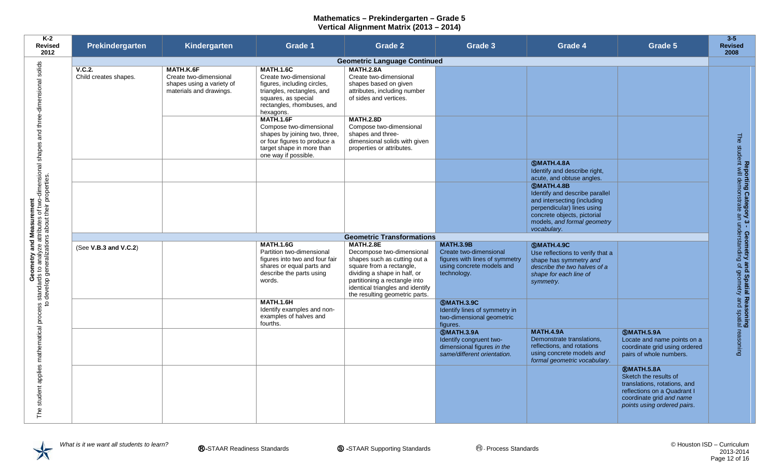| K-2<br><b>Revised</b><br>2012                                                                                                                                         | Prekindergarten                 | Kindergarten                                                                                | <b>Grade 1</b>                                                                                                                                                            | <b>Grade 2</b>                                                                                                                                                                                                                                   | Grade 3                                                                                                                  | Grade 4                                                                                                                                                                                       | Grade 5                                                                                                                                                              | $3 - 5$<br><b>Revised</b><br>2008                                                                                                    |
|-----------------------------------------------------------------------------------------------------------------------------------------------------------------------|---------------------------------|---------------------------------------------------------------------------------------------|---------------------------------------------------------------------------------------------------------------------------------------------------------------------------|--------------------------------------------------------------------------------------------------------------------------------------------------------------------------------------------------------------------------------------------------|--------------------------------------------------------------------------------------------------------------------------|-----------------------------------------------------------------------------------------------------------------------------------------------------------------------------------------------|----------------------------------------------------------------------------------------------------------------------------------------------------------------------|--------------------------------------------------------------------------------------------------------------------------------------|
|                                                                                                                                                                       |                                 |                                                                                             |                                                                                                                                                                           | <b>Geometric Language Continued</b>                                                                                                                                                                                                              |                                                                                                                          |                                                                                                                                                                                               |                                                                                                                                                                      |                                                                                                                                      |
|                                                                                                                                                                       | V.C.2.<br>Child creates shapes. | MATH.K.6F<br>Create two-dimensional<br>shapes using a variety of<br>materials and drawings. | <b>MATH.1.6C</b><br>Create two-dimensional<br>figures, including circles,<br>triangles, rectangles, and<br>squares, as special<br>rectangles, rhombuses, and<br>hexagons. | <b>MATH.2.8A</b><br>Create two-dimensional<br>shapes based on given<br>attributes, including number<br>of sides and vertices.                                                                                                                    |                                                                                                                          |                                                                                                                                                                                               |                                                                                                                                                                      |                                                                                                                                      |
|                                                                                                                                                                       |                                 |                                                                                             | <b>MATH.1.6F</b><br>Compose two-dimensional<br>shapes by joining two, three,<br>or four figures to produce a<br>target shape in more than<br>one way if possible.         | <b>MATH.2.8D</b><br>Compose two-dimensional<br>shapes and three-<br>dimensional solids with given<br>properties or attributes.                                                                                                                   |                                                                                                                          |                                                                                                                                                                                               |                                                                                                                                                                      | Fhe                                                                                                                                  |
|                                                                                                                                                                       |                                 |                                                                                             |                                                                                                                                                                           |                                                                                                                                                                                                                                                  |                                                                                                                          | <b>SMATH.4.8A</b><br>Identify and describe right,<br>acute, and obtuse angles.                                                                                                                |                                                                                                                                                                      |                                                                                                                                      |
|                                                                                                                                                                       |                                 |                                                                                             |                                                                                                                                                                           |                                                                                                                                                                                                                                                  |                                                                                                                          | <b>SMATH.4.8B</b><br>Identify and describe parallel<br>and intersecting (including<br>perpendicular) lines using<br>concrete objects, pictorial<br>models, and formal geometry<br>vocabulary. |                                                                                                                                                                      |                                                                                                                                      |
|                                                                                                                                                                       |                                 |                                                                                             |                                                                                                                                                                           | <b>Geometric Transformations</b>                                                                                                                                                                                                                 |                                                                                                                          |                                                                                                                                                                                               |                                                                                                                                                                      |                                                                                                                                      |
| Geometry and Measurement<br>standards to analyze attributes of two-dimensional shapes and three-dimensional solids<br>develop generalizations about their properties. | (See V.B.3 and V.C.2)           |                                                                                             | <b>MATH.1.6G</b><br>Partition two-dimensional<br>figures into two and four fair<br>shares or equal parts and<br>describe the parts using<br>words.                        | <b>MATH.2.8E</b><br>Decompose two-dimensional<br>shapes such as cutting out a<br>square from a rectangle,<br>dividing a shape in half, or<br>partitioning a rectangle into<br>identical triangles and identify<br>the resulting geometric parts. | <b>MATH.3.9B</b><br>Create two-dimensional<br>figures with lines of symmetry<br>using concrete models and<br>technology. | <b>SMATH.4.9C</b><br>Use reflections to verify that a<br>shape has symmetry and<br>describe the two halves of a<br>shape for each line of<br>symmetry.                                        |                                                                                                                                                                      | Reporting Category 3 - Geometry and Spatial Reasoning<br>student will demonstrate an understanding of geometry and spatial reasoning |
|                                                                                                                                                                       |                                 |                                                                                             | <b>MATH.1.6H</b><br>Identify examples and non-<br>examples of halves and<br>fourths.                                                                                      |                                                                                                                                                                                                                                                  | <b>SMATH.3.9C</b><br>Identify lines of symmetry in<br>two-dimensional geometric<br>figures.                              |                                                                                                                                                                                               |                                                                                                                                                                      |                                                                                                                                      |
|                                                                                                                                                                       |                                 |                                                                                             |                                                                                                                                                                           |                                                                                                                                                                                                                                                  | <b>SMATH.3.9A</b><br>Identify congruent two-<br>dimensional figures in the<br>same/different orientation.                | <b>MATH.4.9A</b><br>Demonstrate translations,<br>reflections, and rotations<br>using concrete models and<br>formal geometric vocabulary.                                                      | <b>SMATH.5.9A</b><br>Locate and name points on a<br>coordinate grid using ordered<br>pairs of whole numbers.                                                         |                                                                                                                                      |
| student applies mathematical process<br>to<br>The                                                                                                                     |                                 |                                                                                             |                                                                                                                                                                           |                                                                                                                                                                                                                                                  |                                                                                                                          |                                                                                                                                                                                               | <b>®MATH.5.8A</b><br>Sketch the results of<br>translations, rotations, and<br>reflections on a Quadrant I<br>coordinate grid and name<br>points using ordered pairs. |                                                                                                                                      |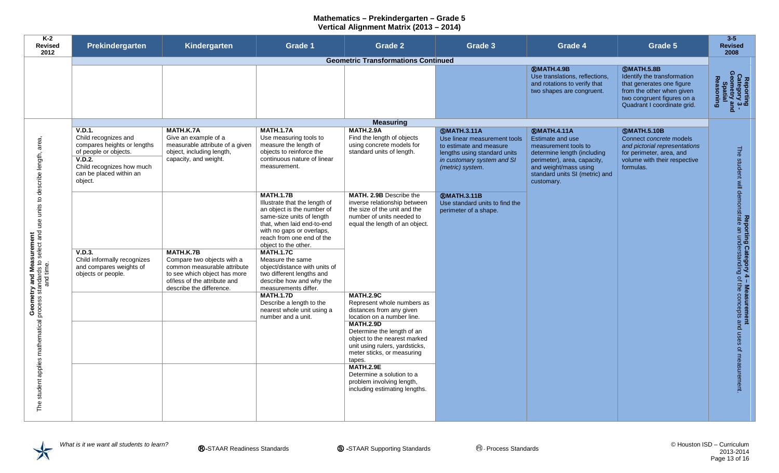| $K-2$<br><b>Revised</b><br>2012                                                                                                    | Prekindergarten                                                                                                                                                     | Kindergarten                                                                                                               | Grade 1                                                                                                                                                                                                                                                                                                                            | <b>Grade 2</b>                                                                                                                                                                                                                                                                                                                                                                      | Grade 3                                                                                                                                                         | Grade 4                                                                                                                                                                                               | Grade 5                                                                                                                                                                 | $3 - 5$<br><b>Revised</b><br>2008                                                                       |
|------------------------------------------------------------------------------------------------------------------------------------|---------------------------------------------------------------------------------------------------------------------------------------------------------------------|----------------------------------------------------------------------------------------------------------------------------|------------------------------------------------------------------------------------------------------------------------------------------------------------------------------------------------------------------------------------------------------------------------------------------------------------------------------------|-------------------------------------------------------------------------------------------------------------------------------------------------------------------------------------------------------------------------------------------------------------------------------------------------------------------------------------------------------------------------------------|-----------------------------------------------------------------------------------------------------------------------------------------------------------------|-------------------------------------------------------------------------------------------------------------------------------------------------------------------------------------------------------|-------------------------------------------------------------------------------------------------------------------------------------------------------------------------|---------------------------------------------------------------------------------------------------------|
|                                                                                                                                    | <b>Geometric Transformations Continued</b>                                                                                                                          |                                                                                                                            |                                                                                                                                                                                                                                                                                                                                    |                                                                                                                                                                                                                                                                                                                                                                                     |                                                                                                                                                                 |                                                                                                                                                                                                       |                                                                                                                                                                         |                                                                                                         |
|                                                                                                                                    |                                                                                                                                                                     |                                                                                                                            |                                                                                                                                                                                                                                                                                                                                    |                                                                                                                                                                                                                                                                                                                                                                                     |                                                                                                                                                                 | <b>®MATH.4.9B</b><br>Use translations, reflections,<br>and rotations to verify that<br>two shapes are congruent.                                                                                      | <b>SMATH.5.8B</b><br>Identify the transformation<br>that generates one figure<br>from the other when given<br>two congruent figures on a<br>Quadrant I coordinate grid. | Reporting<br>Category 3 -<br>Geometry and<br>Spatial<br>Reasoning                                       |
|                                                                                                                                    |                                                                                                                                                                     |                                                                                                                            |                                                                                                                                                                                                                                                                                                                                    | <b>Measuring</b>                                                                                                                                                                                                                                                                                                                                                                    |                                                                                                                                                                 |                                                                                                                                                                                                       |                                                                                                                                                                         |                                                                                                         |
| area<br>Geometry and Measurement<br>The student applies mathematical process standards to select and use units to describe length, | V.D.1.<br>Child recognizes and<br>compares heights or lengths<br>of people or objects.<br>V.D.2.<br>Child recognizes how much<br>can be placed within an<br>object. | MATH.K.7A<br>Give an example of a<br>measurable attribute of a given<br>object, including length,<br>capacity, and weight. | <b>MATH.1.7A</b><br>Use measuring tools to<br>measure the length of<br>objects to reinforce the<br>continuous nature of linear<br>measurement.                                                                                                                                                                                     | <b>MATH.2.9A</b><br>Find the length of objects<br>using concrete models for<br>standard units of length.                                                                                                                                                                                                                                                                            | <b>SMATH.3.11A</b><br>Use linear measurement tools<br>to estimate and measure<br>lengths using standard units<br>in customary system and SI<br>(metric) system. | <b>®MATH.4.11A</b><br>Estimate and use<br>measurement tools to<br>determine length (including<br>perimeter), area, capacity,<br>and weight/mass using<br>standard units SI (metric) and<br>customary. | <b>SMATH.5.10B</b><br>Connect concrete models<br>and pictorial representations<br>for perimeter, area, and<br>volume with their respective<br>formulas.                 |                                                                                                         |
|                                                                                                                                    | V.D.3.<br>Child informally recognizes<br>and compares weights of<br>objects or people.                                                                              | MATH.K.7B<br>Compare two objects with a<br>common measurable attribute<br>to see which object has more                     | <b>MATH.1.7B</b><br>Illustrate that the length of<br>an object is the number of<br>same-size units of length<br>that, when laid end-to-end<br>with no gaps or overlaps,<br>reach from one end of the<br>object to the other.<br><b>MATH.1.7C</b><br>Measure the same<br>object/distance with units of<br>two different lengths and | MATH. 2.9B Describe the<br>inverse relationship between<br>the size of the unit and the<br>number of units needed to<br>equal the length of an object.                                                                                                                                                                                                                              | <b><i>RMATH.3.11B</i></b><br>Use standard units to find the<br>perimeter of a shape.                                                                            |                                                                                                                                                                                                       |                                                                                                                                                                         | Reporting Category 4 - Measurement<br>The student will demonstrate an understanding of the concepts and |
|                                                                                                                                    |                                                                                                                                                                     | of/less of the attribute and<br>describe the difference.                                                                   | describe how and why the<br>measurements differ.<br><b>MATH.1.7D</b><br>Describe a length to the<br>nearest whole unit using a<br>number and a unit.                                                                                                                                                                               | <b>MATH.2.9C</b><br>Represent whole numbers as<br>distances from any given<br>location on a number line.<br><b>MATH.2.9D</b><br>Determine the length of an<br>object to the nearest marked<br>unit using rulers, yardsticks,<br>meter sticks, or measuring<br>tapes.<br><b>MATH.2.9E</b><br>Determine a solution to a<br>problem involving length,<br>including estimating lengths. |                                                                                                                                                                 |                                                                                                                                                                                                       |                                                                                                                                                                         | uses<br>Q<br>measurement                                                                                |

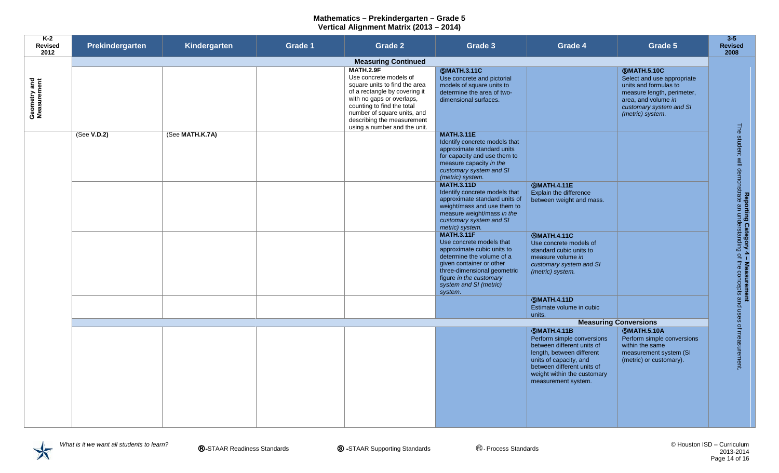| K-2<br>Revised<br>2012      | Prekindergarten                                                          | Kindergarten    | Grade 1 | Grade 2                                                                                                                                                                                                                                                              | Grade 3                                                                                                                                                                                                                             | Grade 4                                                                                                                                                                                             | Grade 5                                                                                                                                                                       | $3 - 5$<br><b>Revised</b><br>2008                                                                                                   |
|-----------------------------|--------------------------------------------------------------------------|-----------------|---------|----------------------------------------------------------------------------------------------------------------------------------------------------------------------------------------------------------------------------------------------------------------------|-------------------------------------------------------------------------------------------------------------------------------------------------------------------------------------------------------------------------------------|-----------------------------------------------------------------------------------------------------------------------------------------------------------------------------------------------------|-------------------------------------------------------------------------------------------------------------------------------------------------------------------------------|-------------------------------------------------------------------------------------------------------------------------------------|
|                             | <b>Measuring Continued</b>                                               |                 |         |                                                                                                                                                                                                                                                                      |                                                                                                                                                                                                                                     |                                                                                                                                                                                                     |                                                                                                                                                                               |                                                                                                                                     |
| Geometry and<br>Measurement |                                                                          |                 |         | <b>MATH.2.9F</b><br>Use concrete models of<br>square units to find the area<br>of a rectangle by covering it<br>with no gaps or overlaps,<br>counting to find the total<br>number of square units, and<br>describing the measurement<br>using a number and the unit. | <b>SMATH.3.11C</b><br>Use concrete and pictorial<br>models of square units to<br>determine the area of two-<br>dimensional surfaces.                                                                                                |                                                                                                                                                                                                     | <b>®MATH.5.10C</b><br>Select and use appropriate<br>units and formulas to<br>measure length, perimeter,<br>area, and volume in<br>customary system and SI<br>(metric) system. |                                                                                                                                     |
|                             | (See V.D.2)                                                              | (See MATH.K.7A) |         |                                                                                                                                                                                                                                                                      | <b>MATH.3.11E</b><br>Identify concrete models that<br>approximate standard units<br>for capacity and use them to<br>measure capacity in the<br>customary system and SI<br>(metric) system.                                          |                                                                                                                                                                                                     |                                                                                                                                                                               |                                                                                                                                     |
|                             |                                                                          |                 |         |                                                                                                                                                                                                                                                                      | <b>MATH.3.11D</b><br>Identify concrete models that<br>approximate standard units of<br>weight/mass and use them to<br>measure weight/mass in the<br>customary system and SI<br>metric) system.                                      | <b>SMATH.4.11E</b><br>Explain the difference<br>between weight and mass.                                                                                                                            |                                                                                                                                                                               |                                                                                                                                     |
|                             |                                                                          |                 |         |                                                                                                                                                                                                                                                                      | <b>MATH.3.11F</b><br>Use concrete models that<br>approximate cubic units to<br>determine the volume of a<br>given container or other<br>three-dimensional geometric<br>figure in the customary<br>system and SI (metric)<br>system. | <b>SMATH.4.11C</b><br>Use concrete models of<br>standard cubic units to<br>measure volume in<br>customary system and SI<br>(metric) system.                                                         |                                                                                                                                                                               | <b>Reporting Category 4 - Measurement</b><br>The student will demonstrate an understanding of the concepts and uses of measurement. |
|                             |                                                                          |                 |         |                                                                                                                                                                                                                                                                      |                                                                                                                                                                                                                                     | <b>SMATH.4.11D</b><br>Estimate volume in cubic                                                                                                                                                      |                                                                                                                                                                               |                                                                                                                                     |
|                             |                                                                          |                 |         |                                                                                                                                                                                                                                                                      |                                                                                                                                                                                                                                     | units.                                                                                                                                                                                              |                                                                                                                                                                               |                                                                                                                                     |
|                             | <b>Measuring Conversions</b><br><b>SMATH.4.11B</b><br><b>SMATH.5.10A</b> |                 |         |                                                                                                                                                                                                                                                                      |                                                                                                                                                                                                                                     |                                                                                                                                                                                                     |                                                                                                                                                                               |                                                                                                                                     |
|                             |                                                                          |                 |         |                                                                                                                                                                                                                                                                      |                                                                                                                                                                                                                                     | Perform simple conversions<br>between different units of<br>length, between different<br>units of capacity, and<br>between different units of<br>weight within the customary<br>measurement system. | Perform simple conversions<br>within the same<br>measurement system (SI<br>(metric) or customary).                                                                            |                                                                                                                                     |
|                             |                                                                          |                 |         |                                                                                                                                                                                                                                                                      |                                                                                                                                                                                                                                     |                                                                                                                                                                                                     |                                                                                                                                                                               |                                                                                                                                     |

 $\bigtimes$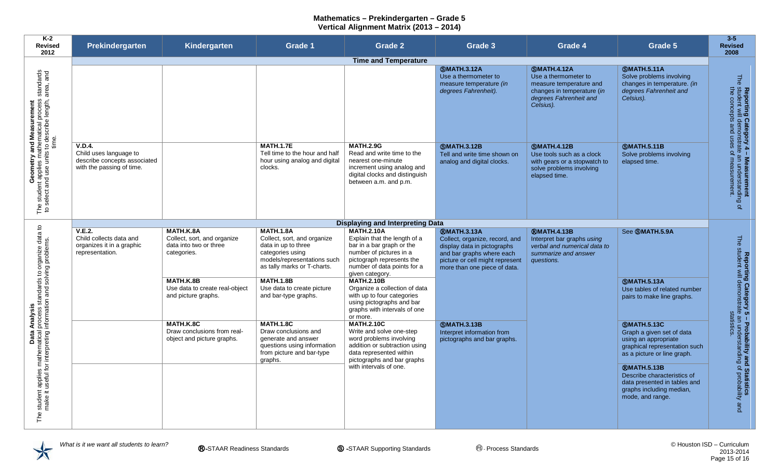| K-2<br><b>Revised</b><br>2012                                                                                                                    | Prekindergarten                                                                                      | Kindergarten                                                                      | Grade 1                                                                                                                                                  | <b>Grade 2</b>                                                                                                                                                                               | Grade 3                                                                                                                                                                             | Grade 4                                                                                                                                    | Grade 5                                                                                                                                                                                                                                                                             | $3-5$<br><b>Revised</b><br>2008                                                                                                      |
|--------------------------------------------------------------------------------------------------------------------------------------------------|------------------------------------------------------------------------------------------------------|-----------------------------------------------------------------------------------|----------------------------------------------------------------------------------------------------------------------------------------------------------|----------------------------------------------------------------------------------------------------------------------------------------------------------------------------------------------|-------------------------------------------------------------------------------------------------------------------------------------------------------------------------------------|--------------------------------------------------------------------------------------------------------------------------------------------|-------------------------------------------------------------------------------------------------------------------------------------------------------------------------------------------------------------------------------------------------------------------------------------|--------------------------------------------------------------------------------------------------------------------------------------|
|                                                                                                                                                  |                                                                                                      |                                                                                   |                                                                                                                                                          | <b>Time and Temperature</b>                                                                                                                                                                  |                                                                                                                                                                                     |                                                                                                                                            |                                                                                                                                                                                                                                                                                     |                                                                                                                                      |
|                                                                                                                                                  |                                                                                                      |                                                                                   |                                                                                                                                                          |                                                                                                                                                                                              | <b>SMATH.3.12A</b><br>Use a thermometer to<br>measure temperature (in<br>degrees Fahrenheit).                                                                                       | <b>SMATH.4.12A</b><br>Use a thermometer to<br>measure temperature and<br>changes in temperature (in<br>degrees Fahrenheit and<br>Celsius). | <b>SMATH.5.11A</b><br>Solve problems involving<br>changes in temperature. (in<br>degrees Fahrenheit and<br>Celsius).                                                                                                                                                                | <b>The</b>                                                                                                                           |
| Geometry and Measurement<br>The student applies mathematical process standards<br>to select and use units to describe length, area, and<br>time. | <b>V.D.4.</b><br>Child uses language to<br>describe concepts associated<br>with the passing of time. |                                                                                   | <b>MATH.1.7E</b><br>Tell time to the hour and half<br>hour using analog and digital<br>clocks.                                                           | <b>MATH.2.9G</b><br>Read and write time to the<br>nearest one-minute<br>increment using analog and<br>digital clocks and distinguish<br>between a.m. and p.m.                                | <b>SMATH.3.12B</b><br>Tell and write time shown on<br>analog and digital clocks.                                                                                                    | <b>SMATH.4.12B</b><br>Use tools such as a clock<br>with gears or a stopwatch to<br>solve problems involving<br>elapsed time.               | <b>SMATH.5.11B</b><br>Solve problems involving<br>elapsed time.                                                                                                                                                                                                                     | Reporting Category 4 – Measurement<br>student will demonstrate an understanding<br>the concepts and uses of measurement.<br>$\Omega$ |
|                                                                                                                                                  |                                                                                                      |                                                                                   |                                                                                                                                                          | <b>Displaying and Interpreting Data</b>                                                                                                                                                      |                                                                                                                                                                                     |                                                                                                                                            |                                                                                                                                                                                                                                                                                     |                                                                                                                                      |
| Analysis<br>process standards to organize data to<br>information and solving problems.                                                           | <b>V.E.2.</b><br>Child collects data and<br>organizes it in a graphic<br>representation.             | MATH.K.8A<br>Collect, sort, and organize<br>data into two or three<br>categories. | <b>MATH.1.8A</b><br>Collect, sort, and organize<br>data in up to three<br>categories using<br>models/representations such<br>as tally marks or T-charts. | <b>MATH.2.10A</b><br>Explain that the length of a<br>bar in a bar graph or the<br>number of pictures in a<br>pictograph represents the<br>number of data points for a<br>given category.     | <b>RMATH.3.13A</b><br>Collect, organize, record, and<br>display data in pictographs<br>and bar graphs where each<br>picture or cell might represent<br>more than one piece of data. | <b><i>RMATH.4.13B</i></b><br>Interpret bar graphs using<br>verbal and numerical data to<br>summarize and answer<br>questions.              | See <b>SMATH.5.9A</b>                                                                                                                                                                                                                                                               | The                                                                                                                                  |
|                                                                                                                                                  |                                                                                                      | MATH.K.8B<br>Use data to create real-object<br>and picture graphs.                | <b>MATH.1.8B</b><br>Use data to create picture<br>and bar-type graphs.                                                                                   | <b>MATH.2.10B</b><br>Organize a collection of data<br>with up to four categories<br>using pictographs and bar<br>graphs with intervals of one<br>or more.                                    |                                                                                                                                                                                     |                                                                                                                                            | <b>SMATH.5.13A</b><br>Use tables of related number<br>pairs to make line graphs.                                                                                                                                                                                                    |                                                                                                                                      |
| <b>Data</b><br>student applies mathematical<br>make it useful for interpreting                                                                   |                                                                                                      | MATH.K.8C<br>Draw conclusions from real-<br>object and picture graphs.            | <b>MATH.1.8C</b><br>Draw conclusions and<br>generate and answer<br>questions using information<br>from picture and bar-type<br>graphs.                   | <b>MATH.2.10C</b><br>Write and solve one-step<br>word problems involving<br>addition or subtraction using<br>data represented within<br>pictographs and bar graphs<br>with intervals of one. | <b>SMATH.3.13B</b><br>Interpret information from<br>pictographs and bar graphs.                                                                                                     |                                                                                                                                            | <b>SMATH.5.13C</b><br>Graph a given set of data<br>using an appropriate<br>graphical representation such<br>as a picture or line graph.<br><b><i>RMATH.5.13B</i></b><br>Describe characteristics of<br>data presented in tables and<br>graphs including median,<br>mode, and range. | Reporting Category 5 – Probability and Statistics<br>student will demonstrate an understanding of probability and<br>statistics.     |
| The                                                                                                                                              |                                                                                                      |                                                                                   |                                                                                                                                                          |                                                                                                                                                                                              |                                                                                                                                                                                     |                                                                                                                                            |                                                                                                                                                                                                                                                                                     |                                                                                                                                      |